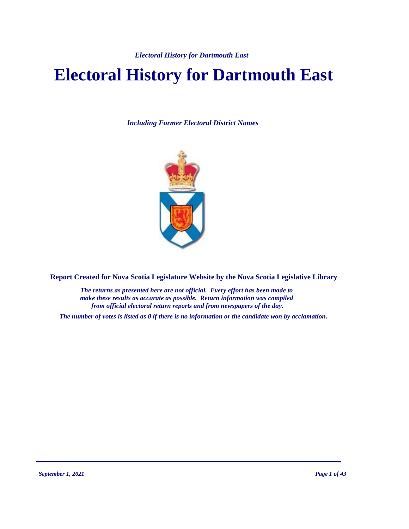# **Electoral History for Dartmouth East**

*Including Former Electoral District Names*



**Report Created for Nova Scotia Legislature Website by the Nova Scotia Legislative Library**

*The returns as presented here are not official. Every effort has been made to make these results as accurate as possible. Return information was compiled from official electoral return reports and from newspapers of the day.*

*The number of votes is listed as 0 if there is no information or the candidate won by acclamation.*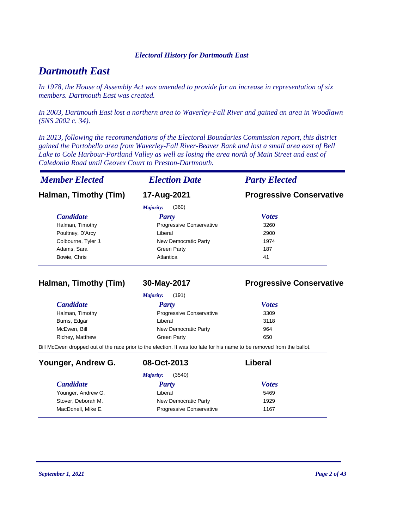### *Dartmouth East*

*In 1978, the House of Assembly Act was amended to provide for an increase in representation of six members. Dartmouth East was created.*

*In 2003, Dartmouth East lost a northern area to Waverley-Fall River and gained an area in Woodlawn (SNS 2002 c. 34).*

*In 2013, following the recommendations of the Electoral Boundaries Commission report, this district gained the Portobello area from Waverley-Fall River-Beaver Bank and lost a small area east of Bell Lake to Cole Harbour-Portland Valley as well as losing the area north of Main Street and east of Caledonia Road until Geovex Court to Preston-Dartmouth.*

| <b>Member Elected</b> | <b>Election Date</b>     | <b>Party Elected</b>            |
|-----------------------|--------------------------|---------------------------------|
| Halman, Timothy (Tim) | 17-Aug-2021              | <b>Progressive Conservative</b> |
|                       | (360)<br>Majority:       |                                 |
| <b>Candidate</b>      | Party                    | <b>Votes</b>                    |
| Halman, Timothy       | Progressive Conservative | 3260                            |
| Poultney, D'Arcy      | Liberal                  | 2900                            |
| Colbourne, Tyler J.   | New Democratic Party     | 1974                            |
| Adams, Sara           | Green Party              | 187                             |
| Bowie, Chris          | Atlantica                | 41                              |

#### **Halman, Timothy (Tim) 30-May-2017 Progressive Conservative**

|                  | (191)<br>Majority:              |              |
|------------------|---------------------------------|--------------|
| <i>Candidate</i> | <b>Party</b>                    | <b>Votes</b> |
| Halman, Timothy  | <b>Progressive Conservative</b> | 3309         |
| Burns, Edgar     | Liberal                         | 3118         |
| McEwen, Bill     | New Democratic Party            | 964          |
| Richey, Matthew  | <b>Green Party</b>              | 650          |

Bill McEwen dropped out of the race prior to the election. It was too late for his name to be removed from the ballot.

| Younger, Andrew G. | 08-Oct-2013                     | Liberal      |  |
|--------------------|---------------------------------|--------------|--|
|                    | (3540)<br>Majority:             |              |  |
| <b>Candidate</b>   | <b>Party</b>                    | <b>Votes</b> |  |
| Younger, Andrew G. | Liberal                         | 5469         |  |
| Stover, Deborah M. | New Democratic Party            | 1929         |  |
| MacDonell, Mike E. | <b>Progressive Conservative</b> | 1167         |  |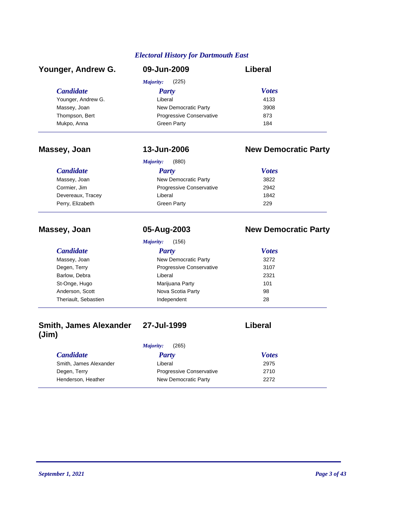| Younger, Andrew G. | 09-Jun-2009              | Liberal      |
|--------------------|--------------------------|--------------|
|                    | (225)<br>Majority:       |              |
| <b>Candidate</b>   | <b>Party</b>             | <b>Votes</b> |
| Younger, Andrew G. | Liberal                  | 4133         |
| Massey, Joan       | New Democratic Party     | 3908         |
| Thompson, Bert     | Progressive Conservative | 873          |
| Mukpo, Anna        | <b>Green Party</b>       | 184          |

### **Massey, Joan 13-Jun-2006 New Democratic Party**

|                   | (880)<br>Majority:       |              |  |
|-------------------|--------------------------|--------------|--|
| <b>Candidate</b>  | Party                    | <b>Votes</b> |  |
| Massey, Joan      | New Democratic Party     | 3822         |  |
| Cormier, Jim      | Progressive Conservative | 2942         |  |
| Devereaux, Tracey | Liberal                  | 1842         |  |
| Perry, Elizabeth  | Green Party              | 229          |  |

### **Massey, Joan 05-Aug-2003 New Democratic Party**

|                      | (156)<br>Majority:              |              |  |
|----------------------|---------------------------------|--------------|--|
| <b>Candidate</b>     | <b>Party</b>                    | <b>Votes</b> |  |
| Massey, Joan         | New Democratic Party            | 3272         |  |
| Degen, Terry         | <b>Progressive Conservative</b> | 3107         |  |
| Barlow, Debra        | Liberal                         | 2321         |  |
| St-Onge, Hugo        | Marijuana Party                 | 101          |  |
| Anderson, Scott      | Nova Scotia Party               | 98           |  |
| Theriault, Sebastien | Independent                     | 28           |  |
|                      |                                 |              |  |

#### **Smith, James Alexander (Jim) 27-Jul-1999 Liberal**

*Majority:* (265)

#### *Candidate Party Votes* Smith, James Alexander **Liberal** Liberal 2975 Degen, Terry **Progressive Conservative** 2710 Henderson, Heather New Democratic Party 2272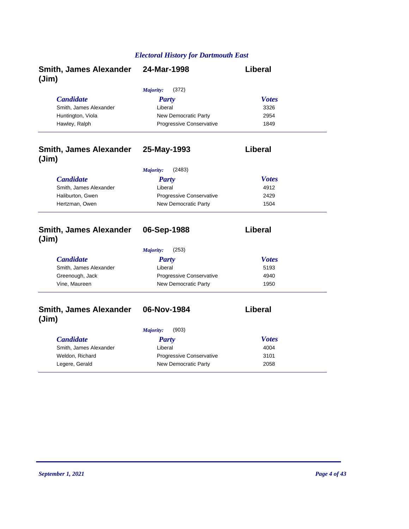| <b>Smith, James Alexander</b><br>(Jim) | 24-Mar-1998                              | Liberal        |
|----------------------------------------|------------------------------------------|----------------|
|                                        | (372)<br><b>Majority:</b>                |                |
| <b>Candidate</b>                       | <b>Party</b>                             | <b>Votes</b>   |
| Smith, James Alexander                 | Liberal                                  | 3326           |
| Huntington, Viola                      | New Democratic Party                     | 2954           |
| Hawley, Ralph                          | Progressive Conservative                 | 1849           |
| <b>Smith, James Alexander</b><br>(Jim) | 25-May-1993                              | Liberal        |
|                                        | Majority:<br>(2483)                      |                |
| <b>Candidate</b>                       | <b>Party</b>                             | <b>Votes</b>   |
| Smith, James Alexander                 | Liberal                                  | 4912           |
| Haliburton, Gwen                       | <b>Progressive Conservative</b>          | 2429           |
| Hertzman, Owen                         | New Democratic Party                     | 1504           |
| <b>Smith, James Alexander</b><br>(Jim) | 06-Sep-1988<br><b>Majority:</b><br>(253) | <b>Liberal</b> |
| <b>Candidate</b>                       | <b>Party</b>                             | <b>Votes</b>   |
| Smith, James Alexander                 | Liberal                                  | 5193           |
| Greenough, Jack                        | Progressive Conservative                 | 4940           |
| Vine, Maureen                          | New Democratic Party                     | 1950           |
| <b>Smith, James Alexander</b><br>(Jim) | 06-Nov-1984                              | Liberal        |
|                                        | (903)<br>Majority:                       |                |
| <b>Candidate</b>                       | <b>Party</b>                             | <b>Votes</b>   |
|                                        |                                          | 4004           |
| Smith, James Alexander                 | Liberal                                  |                |
| Weldon, Richard                        | Progressive Conservative                 | 3101           |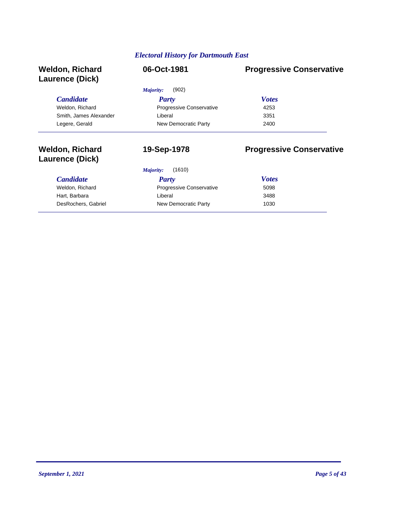| <b>Weldon, Richard</b><br>Laurence (Dick)        | 06-Oct-1981                     | <b>Progressive Conservative</b> |
|--------------------------------------------------|---------------------------------|---------------------------------|
|                                                  | (902)<br>Majority:              |                                 |
| <b>Candidate</b>                                 | <b>Party</b>                    | <b>Votes</b>                    |
| Weldon, Richard                                  | Progressive Conservative        | 4253                            |
| Smith, James Alexander                           | Liberal                         | 3351                            |
| Legere, Gerald                                   | New Democratic Party            | 2400                            |
| <b>Weldon, Richard</b><br><b>Laurence (Dick)</b> | 19-Sep-1978                     | <b>Progressive Conservative</b> |
|                                                  | (1610)<br>Majority:             |                                 |
| <b>Candidate</b>                                 | Party                           | <b>Votes</b>                    |
| Weldon, Richard                                  | <b>Progressive Conservative</b> | 5098                            |
| Hart, Barbara                                    | Liberal                         | 3488                            |

DesRochers, Gabriel **New Democratic Party** 1030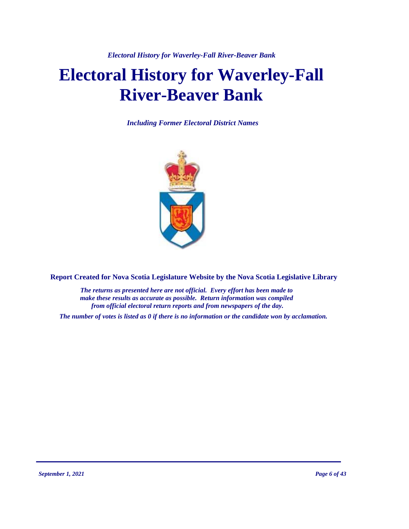*Electoral History for Waverley-Fall River-Beaver Bank*

# **Electoral History for Waverley-Fall River-Beaver Bank**

*Including Former Electoral District Names*



**Report Created for Nova Scotia Legislature Website by the Nova Scotia Legislative Library**

*The returns as presented here are not official. Every effort has been made to make these results as accurate as possible. Return information was compiled from official electoral return reports and from newspapers of the day.*

*The number of votes is listed as 0 if there is no information or the candidate won by acclamation.*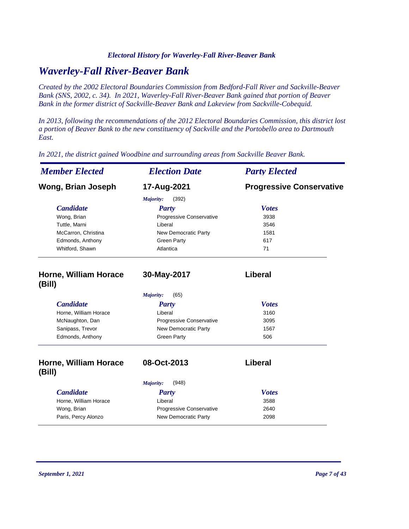#### *Electoral History for Waverley-Fall River-Beaver Bank*

### *Waverley-Fall River-Beaver Bank*

*Created by the 2002 Electoral Boundaries Commission from Bedford-Fall River and Sackville-Beaver Bank (SNS, 2002, c. 34). In 2021, Waverley-Fall River-Beaver Bank gained that portion of Beaver Bank in the former district of Sackville-Beaver Bank and Lakeview from Sackville-Cobequid.*

*In 2013, following the recommendations of the 2012 Electoral Boundaries Commission, this district lost a portion of Beaver Bank to the new constituency of Sackville and the Portobello area to Dartmouth East.*

*In 2021, the district gained Woodbine and surrounding areas from Sackville Beaver Bank.*

| <b>Member Elected</b>                  | <b>Election Date</b>      | <b>Party Elected</b>            |
|----------------------------------------|---------------------------|---------------------------------|
| <b>Wong, Brian Joseph</b>              | 17-Aug-2021               | <b>Progressive Conservative</b> |
|                                        | Majority:<br>(392)        |                                 |
| <b>Candidate</b>                       | <b>Party</b>              | <b>Votes</b>                    |
| Wong, Brian                            | Progressive Conservative  | 3938                            |
| Tuttle, Marni                          | Liberal                   | 3546                            |
| McCarron, Christina                    | New Democratic Party      | 1581                            |
| Edmonds, Anthony                       | <b>Green Party</b>        | 617                             |
| Whitford, Shawn                        | Atlantica                 | 71                              |
| Horne, William Horace<br>(Bill)        | 30-May-2017               | Liberal                         |
|                                        | Majority:<br>(65)         |                                 |
| <b>Candidate</b>                       | <b>Party</b>              | <b>Votes</b>                    |
| Horne, William Horace                  | Liberal                   | 3160                            |
| McNaughton, Dan                        | Progressive Conservative  | 3095                            |
| Sanipass, Trevor                       | New Democratic Party      | 1567                            |
| Edmonds, Anthony                       | <b>Green Party</b>        | 506                             |
| <b>Horne, William Horace</b><br>(Bill) | 08-Oct-2013               | Liberal                         |
|                                        | (948)<br><b>Majority:</b> |                                 |
| <b>Candidate</b>                       | <b>Party</b>              | <b>Votes</b>                    |
| Horne, William Horace                  | Liberal                   | 3588                            |
| Wong, Brian                            | Progressive Conservative  | 2640                            |
| Paris, Percy Alonzo                    | New Democratic Party      | 2098                            |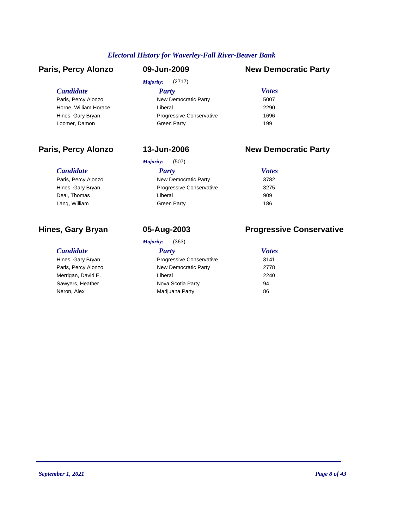#### *Electoral History for Waverley-Fall River-Beaver Bank*

| Paris, Percy Alonzo   | 09-Jun-2009              | <b>New Democratic Party</b> |
|-----------------------|--------------------------|-----------------------------|
|                       | Majority:<br>(2717)      |                             |
| <i>Candidate</i>      | Party                    | <b>Votes</b>                |
| Paris, Percy Alonzo   | New Democratic Party     | 5007                        |
| Horne, William Horace | Liberal                  | 2290                        |
| Hines, Gary Bryan     | Progressive Conservative | 1696                        |
| Loomer, Damon         | <b>Green Party</b>       | 199                         |

### **Paris, Percy Alonzo 13-Jun-2006 New Democratic Party**

| (507)<br>Majority:       |              |
|--------------------------|--------------|
| Party                    | <b>Votes</b> |
| New Democratic Party     | 3782         |
| Progressive Conservative | 3275         |
| Liberal                  | 909          |
| Green Party              | 186          |
|                          |              |

|                     | (363)<br>Majority:              |              |
|---------------------|---------------------------------|--------------|
| <b>Candidate</b>    | <b>Party</b>                    | <b>Votes</b> |
| Hines, Gary Bryan   | <b>Progressive Conservative</b> | 3141         |
| Paris, Percy Alonzo | New Democratic Party            | 2778         |
| Merrigan, David E.  | Liberal                         | 2240         |
| Sawyers, Heather    | Nova Scotia Party               | 94           |
| Neron, Alex         | Marijuana Party                 | 86           |

### **Hines, Gary Bryan 05-Aug-2003 Progressive Conservative**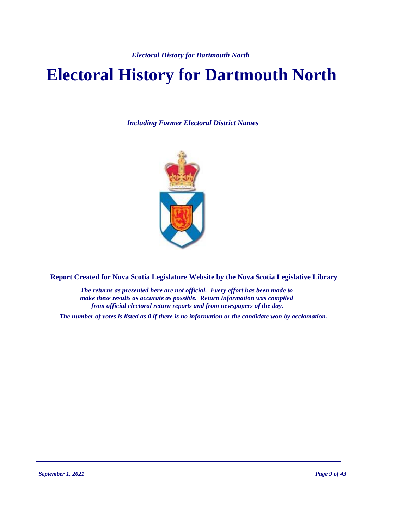# **Electoral History for Dartmouth North**

*Including Former Electoral District Names*



**Report Created for Nova Scotia Legislature Website by the Nova Scotia Legislative Library**

*The returns as presented here are not official. Every effort has been made to make these results as accurate as possible. Return information was compiled from official electoral return reports and from newspapers of the day.*

*The number of votes is listed as 0 if there is no information or the candidate won by acclamation.*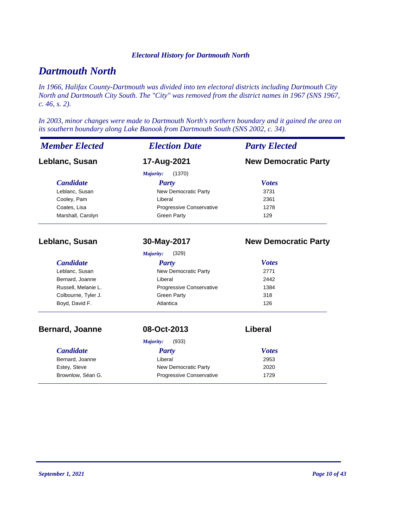### *Dartmouth North*

*In 1966, Halifax County-Dartmouth was divided into ten electoral districts including Dartmouth City North and Dartmouth City South. The "City" was removed from the district names in 1967 (SNS 1967, c. 46, s. 2).*

*In 2003, minor changes were made to Dartmouth North's northern boundary and it gained the area on its southern boundary along Lake Banook from Dartmouth South (SNS 2002, c. 34).*

| <b>Member Elected</b>  | <b>Election Date</b>     | <b>Party Elected</b>        |  |
|------------------------|--------------------------|-----------------------------|--|
| Leblanc, Susan         | 17-Aug-2021              | <b>New Democratic Party</b> |  |
|                        | Majority:<br>(1370)      |                             |  |
| <b>Candidate</b>       | Party                    | <b>Votes</b>                |  |
| Leblanc, Susan         | New Democratic Party     | 3731                        |  |
| Cooley, Pam            | Liberal                  | 2361                        |  |
| Coates, Lisa           | Progressive Conservative | 1278                        |  |
| Marshall, Carolyn      | <b>Green Party</b>       | 129                         |  |
| Leblanc, Susan         | 30-May-2017              | <b>New Democratic Party</b> |  |
|                        | Majority:<br>(329)       |                             |  |
| <b>Candidate</b>       | <b>Party</b>             | <b>Votes</b>                |  |
| Leblanc, Susan         | New Democratic Party     | 2771                        |  |
| Bernard, Joanne        | Liberal                  | 2442                        |  |
| Russell, Melanie L.    | Progressive Conservative | 1384                        |  |
| Colbourne, Tyler J.    | <b>Green Party</b>       | 318                         |  |
| Boyd, David F.         | Atlantica                | 126                         |  |
| <b>Bernard, Joanne</b> | 08-Oct-2013              | Liberal                     |  |
|                        | (933)<br>Majority:       |                             |  |
| <b>Candidate</b>       | <b>Party</b>             | <b>Votes</b>                |  |
| Bernard, Joanne        | Liberal                  | 2953                        |  |
| Estey, Steve           | New Democratic Party     | 2020                        |  |
| Brownlow, Séan G.      | Progressive Conservative | 1729                        |  |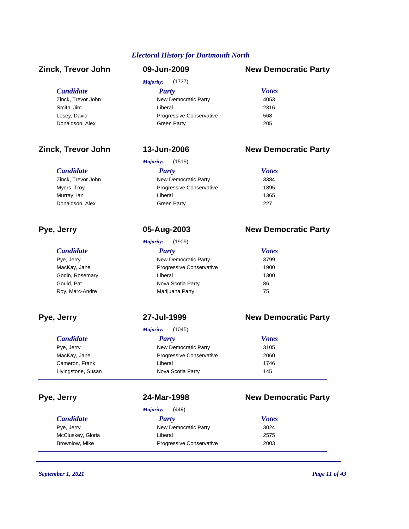| <b>Zinck, Trevor John</b> | 09-Jun-2009              | <b>New Democratic Party</b> |
|---------------------------|--------------------------|-----------------------------|
|                           | (1737)<br>Majority:      |                             |
| <b>Candidate</b>          | <b>Party</b>             | <b>Votes</b>                |
| Zinck, Trevor John        | New Democratic Party     | 4053                        |
| Smith, Jim                | Liberal                  | 2316                        |
| Losey, David              | Progressive Conservative | 568                         |
| Donaldson, Alex           | <b>Green Party</b>       | 205                         |

 $C$ *andidate* 

Zinck, Trevor John Myers, Troy Murray, lan Donaldson, Alex

#### **Zinck, Trevor John 13-Jun-2006 New Democratic Party**

*Majority:* (1519)

| <b>Votes</b> |
|--------------|
| 3384         |
| 1895         |
| 1365         |
| 227          |
|              |

## **Pye, Jerry 05-Aug-2003 New Democratic Party**

|                  | (1909)<br>Majority:      |              |
|------------------|--------------------------|--------------|
| <b>Candidate</b> | Party                    | <b>Votes</b> |
| Pye, Jerry       | New Democratic Party     | 3799         |
| MacKay, Jane     | Progressive Conservative | 1900         |
| Godin, Rosemary  | Liberal                  | 1300         |
| Gould, Pat       | Nova Scotia Party        | 86           |
| Roy, Marc-Andre  | Marijuana Party          | 75           |

#### *Candidate Party Votes Majority:* (1045) Pye, Jerry 3105 MacKay, Jane **Progressive Conservative** 2060 Cameron, Frank **Liberal** Liberal 1746 Livingstone, Susan Nova Scotia Party 145

#### *Candidate Party Votes Majority:* (449) Pye, Jerry **New Democratic Party** 3024 McCluskey, Gloria **McCluskey, Gloria** 2575 Brownlow, Mike **Progressive Conservative** 2003

*September 1, 2021 Page 11 of 43*

### **Pye, Jerry 27-Jul-1999 New Democratic Party**

### **Pye, Jerry 24-Mar-1998 New Democratic Party**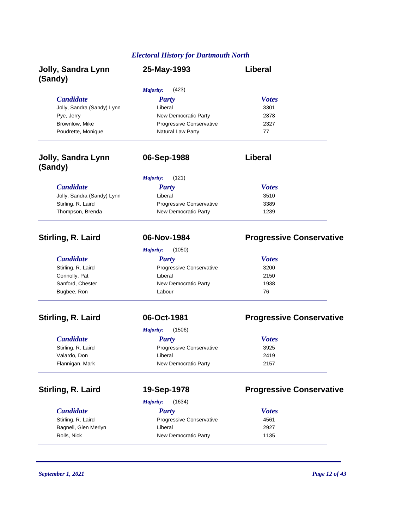| Jolly, Sandra Lynn<br>(Sandy)        | 25-May-1993                | Liberal                         |
|--------------------------------------|----------------------------|---------------------------------|
|                                      | Majority:<br>(423)         |                                 |
| <b>Candidate</b>                     | <b>Party</b>               | <b>Votes</b>                    |
| Jolly, Sandra (Sandy) Lynn           | Liberal                    | 3301                            |
| Pye, Jerry                           | New Democratic Party       | 2878                            |
| Brownlow, Mike                       | Progressive Conservative   | 2327                            |
| Poudrette, Monique                   | Natural Law Party          | 77                              |
| <b>Jolly, Sandra Lynn</b><br>(Sandy) | 06-Sep-1988                | Liberal                         |
|                                      | Majority:<br>(121)         |                                 |
| <b>Candidate</b>                     | <b>Party</b>               | <b>Votes</b>                    |
| Jolly, Sandra (Sandy) Lynn           | Liberal                    | 3510                            |
| Stirling, R. Laird                   | Progressive Conservative   | 3389                            |
| Thompson, Brenda                     | New Democratic Party       | 1239                            |
| Stirling, R. Laird                   | 06-Nov-1984                | <b>Progressive Conservative</b> |
|                                      | Majority:<br>(1050)        |                                 |
| <b>Candidate</b>                     | <b>Party</b>               | <b>Votes</b>                    |
| Stirling, R. Laird                   | Progressive Conservative   | 3200                            |
| Connolly, Pat                        | Liberal                    | 2150                            |
| Sanford, Chester                     | New Democratic Party       | 1938                            |
| Bugbee, Ron                          | Labour                     | 76                              |
| Stirling, R. Laird                   | 06-Oct-1981                | <b>Progressive Conservative</b> |
|                                      | (1506)<br>Majority:        |                                 |
| <b>Candidate</b>                     | <b>Party</b>               | <b>Votes</b>                    |
| Stirling, R. Laird                   | Progressive Conservative   | 3925                            |
| Valardo, Don                         | Liberal                    | 2419                            |
| Flannigan, Mark                      | New Democratic Party       | 2157                            |
| Stirling, R. Laird                   | 19-Sep-1978                | <b>Progressive Conservative</b> |
|                                      | (1634)<br><b>Majority:</b> |                                 |
| <b>Candidate</b>                     | <b>Party</b>               | <b>Votes</b>                    |
| Stirling, R. Laird                   | Progressive Conservative   | 4561                            |
| Bagnell, Glen Merlyn                 | Liberal                    | 2927                            |
| Rolls, Nick                          | New Democratic Party       | 1135                            |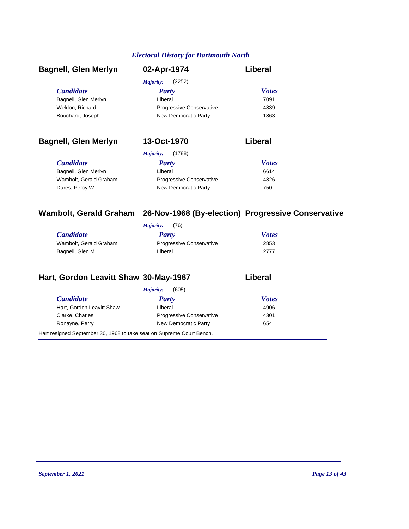| <b>Bagnell, Glen Merlyn</b> | 02-Apr-1974              | Liberal      |
|-----------------------------|--------------------------|--------------|
|                             | (2252)<br>Majority:      |              |
| <b>Candidate</b>            | <b>Party</b>             | <b>Votes</b> |
| Bagnell, Glen Merlyn        | Liberal                  | 7091         |
| Weldon, Richard             | Progressive Conservative | 4839         |
| Bouchard, Joseph            | New Democratic Party     | 1863         |

### **Bagnell, Glen Merlyn 13-Oct-1970 Liberal**

|                        | (1788)<br>Majority:             |              |
|------------------------|---------------------------------|--------------|
| <i>Candidate</i>       | Party                           | <b>Votes</b> |
| Bagnell, Glen Merlyn   | Liberal                         | 6614         |
| Wambolt, Gerald Graham | <b>Progressive Conservative</b> | 4826         |
| Dares, Percy W.        | New Democratic Party            | 750          |

### **Wambolt, Gerald Graham 26-Nov-1968 (By-election) Progressive Conservative**

| (76)<br>Majority:               |              |  |
|---------------------------------|--------------|--|
| Party                           | <b>Votes</b> |  |
| <b>Progressive Conservative</b> | 2853         |  |
| Liberal                         | 2777         |  |
|                                 |              |  |

### **Hart, Gordon Leavitt Shaw 30-May-1967 Liberal**

| <b>Candidate</b>          | <b>Party</b>                    | <b>Votes</b> |
|---------------------------|---------------------------------|--------------|
| Hart, Gordon Leavitt Shaw | Liberal                         | 4906         |
| Clarke, Charles           | <b>Progressive Conservative</b> | 4301         |
| Ronayne, Perry            | New Democratic Party            | 654          |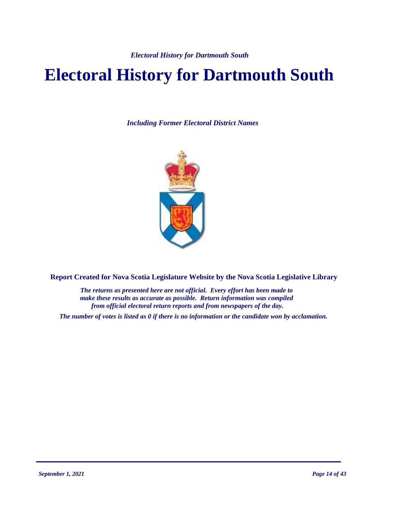# **Electoral History for Dartmouth South**

*Including Former Electoral District Names*



**Report Created for Nova Scotia Legislature Website by the Nova Scotia Legislative Library**

*The returns as presented here are not official. Every effort has been made to make these results as accurate as possible. Return information was compiled from official electoral return reports and from newspapers of the day.*

*The number of votes is listed as 0 if there is no information or the candidate won by acclamation.*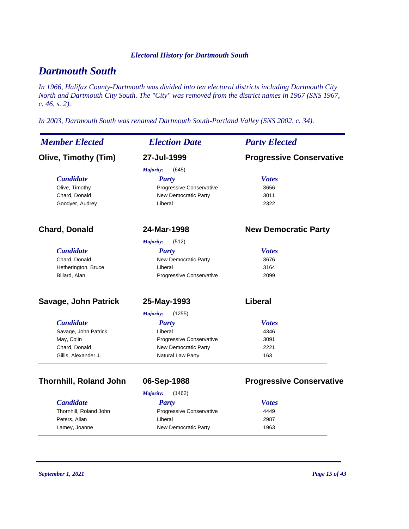### *Dartmouth South*

*In 1966, Halifax County-Dartmouth was divided into ten electoral districts including Dartmouth City North and Dartmouth City South. The "City" was removed from the district names in 1967 (SNS 1967, c. 46, s. 2).*

*In 2003, Dartmouth South was renamed Dartmouth South-Portland Valley (SNS 2002, c. 34).*

| <b>Member Elected</b>         | <b>Election Date</b>            | <b>Party Elected</b>            |
|-------------------------------|---------------------------------|---------------------------------|
| <b>Olive, Timothy (Tim)</b>   | 27-Jul-1999                     | <b>Progressive Conservative</b> |
|                               | Majority:<br>(645)              |                                 |
| <b>Candidate</b>              | <b>Party</b>                    | <b>Votes</b>                    |
| Olive, Timothy                | Progressive Conservative        | 3656                            |
| Chard, Donald                 | <b>New Democratic Party</b>     | 3011                            |
| Goodyer, Audrey               | Liberal                         | 2322                            |
| <b>Chard, Donald</b>          | 24-Mar-1998                     | <b>New Democratic Party</b>     |
|                               | Majority:<br>(512)              |                                 |
| <b>Candidate</b>              | <b>Party</b>                    | <b>Votes</b>                    |
| Chard, Donald                 | New Democratic Party            | 3676                            |
| Hetherington, Bruce           | Liberal                         | 3164                            |
| Billard, Alan                 | Progressive Conservative        | 2099                            |
| Savage, John Patrick          | 25-May-1993                     | <b>Liberal</b>                  |
|                               | Majority:<br>(1255)             |                                 |
| <b>Candidate</b>              | <b>Party</b>                    | <b>Votes</b>                    |
| Savage, John Patrick          | Liberal                         | 4346                            |
| May, Colin                    | <b>Progressive Conservative</b> | 3091                            |
| Chard, Donald                 | New Democratic Party            | 2221                            |
| Gillis, Alexander J.          | Natural Law Party               | 163                             |
| <b>Thornhill, Roland John</b> | 06-Sep-1988                     | <b>Progressive Conservative</b> |
|                               | (1462)<br>Majority:             |                                 |
| <b>Candidate</b>              | <b>Party</b>                    | <b>Votes</b>                    |
| Thornhill, Roland John        | Progressive Conservative        | 4449                            |
| Peters, Allan                 | Liberal                         | 2987                            |

Lamey, Joanne **New Democratic Party** 1963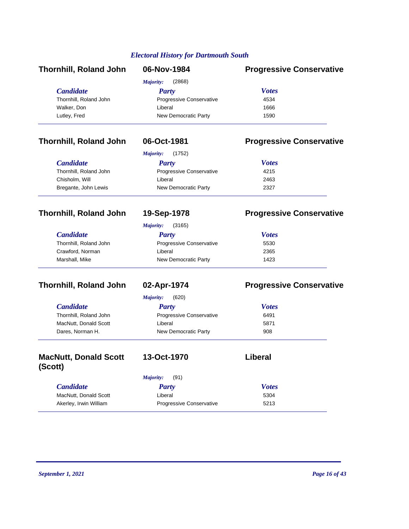| <b>Thornhill, Roland John</b> | 06-Nov-1984              | <b>Progressive Conservative</b> |
|-------------------------------|--------------------------|---------------------------------|
|                               | (2868)<br>Majority:      |                                 |
| <b>Candidate</b>              | <b>Party</b>             | <b>Votes</b>                    |
| Thornhill, Roland John        | Progressive Conservative | 4534                            |
| Walker, Don                   | Liberal                  | 1666                            |
| Lutley, Fred                  | New Democratic Party     | 1590                            |

### **Thornhill, Roland John 06-Oct-1981 Progressive Conservative**

|                        | (1752)<br>Majority:             |              |  |
|------------------------|---------------------------------|--------------|--|
| <b>Candidate</b>       | Party                           | <b>Votes</b> |  |
| Thornhill, Roland John | <b>Progressive Conservative</b> | 4215         |  |
| Chisholm, Will         | Liberal                         | 2463         |  |
| Bregante, John Lewis   | New Democratic Party            | 2327         |  |

### **Thornhill, Roland John 19-Sep-1978 Progressive Conservative**

*Majority:* (3165)

| <i>Candidate</i>       | Party                           | <b>Votes</b> |
|------------------------|---------------------------------|--------------|
| Thornhill, Roland John | <b>Progressive Conservative</b> | 5530         |
| Crawford, Norman       | Liberal                         | 2365         |
| Marshall, Mike         | New Democratic Party            | 1423         |

### **Thornhill, Roland John 02-Apr-1974 Progressive Conservative**

|                        | (620)<br>Majority:              |              |  |
|------------------------|---------------------------------|--------------|--|
| <b>Candidate</b>       | Party                           | <b>Votes</b> |  |
| Thornhill, Roland John | <b>Progressive Conservative</b> | 6491         |  |
| MacNutt, Donald Scott  | Liberal                         | 5871         |  |
| Dares, Norman H.       | New Democratic Party            | 908          |  |

| <b>MacNutt, Donald Scott</b><br>(Scott) | 13-Oct-1970                     | Liberal      |
|-----------------------------------------|---------------------------------|--------------|
|                                         | (91)<br>Majority:               |              |
| <b>Candidate</b>                        | Party                           | <b>Votes</b> |
| MacNutt, Donald Scott                   | Liberal                         | 5304         |
| Akerley, Irwin William                  | <b>Progressive Conservative</b> | 5213         |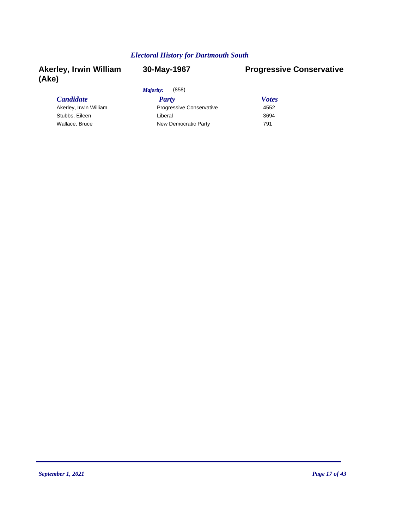| <b>Akerley, Irwin William</b><br>(Ake) | 30-May-1967                     | <b>Progressive Conservative</b> |
|----------------------------------------|---------------------------------|---------------------------------|
|                                        | (858)<br>Majority:              |                                 |
| <b>Candidate</b>                       | <b>Party</b>                    | <b>Votes</b>                    |
| Akerley, Irwin William                 | <b>Progressive Conservative</b> | 4552                            |
| Stubbs, Eileen                         | Liberal                         | 3694                            |
| Wallace, Bruce                         | New Democratic Party            | 791                             |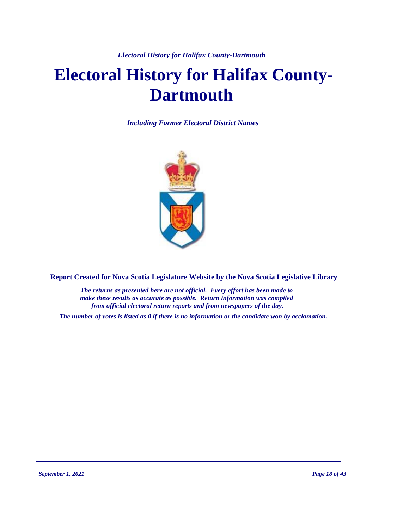*Electoral History for Halifax County-Dartmouth*

# **Electoral History for Halifax County-Dartmouth**

*Including Former Electoral District Names*



**Report Created for Nova Scotia Legislature Website by the Nova Scotia Legislative Library**

*The returns as presented here are not official. Every effort has been made to make these results as accurate as possible. Return information was compiled from official electoral return reports and from newspapers of the day.*

*The number of votes is listed as 0 if there is no information or the candidate won by acclamation.*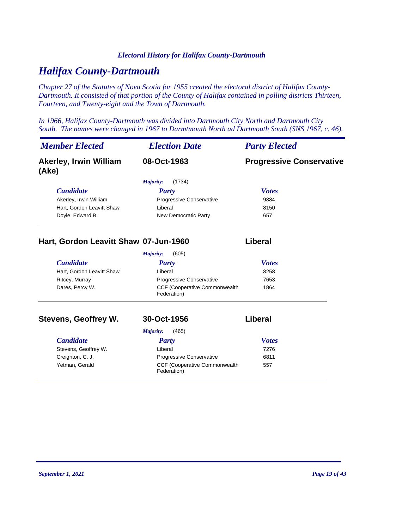#### *Electoral History for Halifax County-Dartmouth*

### *Halifax County-Dartmouth*

*Chapter 27 of the Statutes of Nova Scotia for 1955 created the electoral district of Halifax County-Dartmouth. It consisted of that portion of the County of Halifax contained in polling districts Thirteen, Fourteen, and Twenty-eight and the Town of Dartmouth.*

*In 1966, Halifax County-Dartmouth was divided into Dartmouth City North and Dartmouth City South. The names were changed in 1967 to Darmtmouth North ad Dartmouth South (SNS 1967, c. 46).*

| <b>Member Elected</b>                  | <b>Election Date</b>            | <b>Party Elected</b>            |
|----------------------------------------|---------------------------------|---------------------------------|
| <b>Akerley, Irwin William</b><br>(Ake) | 08-Oct-1963                     | <b>Progressive Conservative</b> |
|                                        | (1734)<br>Majority:             |                                 |
| <b>Candidate</b>                       | <b>Party</b>                    | <b>Votes</b>                    |
| Akerley, Irwin William                 | <b>Progressive Conservative</b> | 9884                            |
| Hart, Gordon Leavitt Shaw              | Liberal                         | 8150                            |
| Doyle, Edward B.                       | New Democratic Party            | 657                             |

#### **Hart, Gordon Leavitt Shaw 07-Jun-1960 Liberal**

| (605)<br>Majority:        |                                                      |              |  |
|---------------------------|------------------------------------------------------|--------------|--|
| <b>Candidate</b>          | <b>Party</b>                                         | <b>Votes</b> |  |
| Hart, Gordon Leavitt Shaw | Liberal                                              | 8258         |  |
| Ritcey, Murray            | <b>Progressive Conservative</b>                      | 7653         |  |
| Dares, Percy W.           | <b>CCF (Cooperative Commonwealth)</b><br>Federation) | 1864         |  |

#### **Stevens, Geoffrey W. 30-Oct-1956 Liberal**

#### *Candidate Party Votes Majority:* (465) Stevens, Geoffrey W. **Example 2018** Liberal 2276 Creighton, C. J. **Creighton, C. J.** Progressive Conservative 6811 CCF (Cooperative Commonwealth Yetman, Gerald 557 Federation)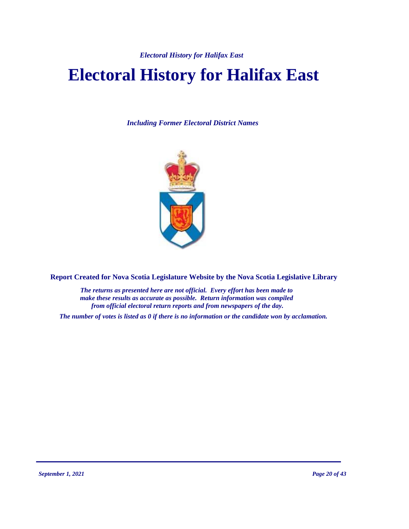*Electoral History for Halifax East*

# **Electoral History for Halifax East**

*Including Former Electoral District Names*



**Report Created for Nova Scotia Legislature Website by the Nova Scotia Legislative Library**

*The returns as presented here are not official. Every effort has been made to make these results as accurate as possible. Return information was compiled from official electoral return reports and from newspapers of the day.*

*The number of votes is listed as 0 if there is no information or the candidate won by acclamation.*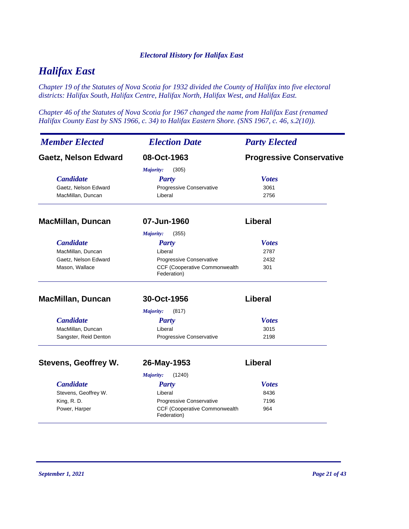#### *Electoral History for Halifax East*

### *Halifax East*

*Chapter 19 of the Statutes of Nova Scotia for 1932 divided the County of Halifax into five electoral districts: Halifax South, Halifax Centre, Halifax North, Halifax West, and Halifax East.*

*Chapter 46 of the Statutes of Nova Scotia for 1967 changed the name from Halifax East (renamed Halifax County East by SNS 1966, c. 34) to Halifax Eastern Shore. (SNS 1967, c. 46, s.2(10)).*

| <b>Member Elected</b>       | <b>Election Date</b>                                | <b>Party Elected</b>            |
|-----------------------------|-----------------------------------------------------|---------------------------------|
| <b>Gaetz, Nelson Edward</b> | 08-Oct-1963                                         | <b>Progressive Conservative</b> |
|                             | Majority:<br>(305)                                  |                                 |
| <b>Candidate</b>            | <b>Party</b>                                        | <b>Votes</b>                    |
| Gaetz, Nelson Edward        | Progressive Conservative                            | 3061                            |
| MacMillan, Duncan           | Liberal                                             | 2756                            |
| <b>MacMillan, Duncan</b>    | 07-Jun-1960                                         | Liberal                         |
|                             | (355)<br><b>Majority:</b>                           |                                 |
| <b>Candidate</b>            | <b>Party</b>                                        | <b>Votes</b>                    |
| MacMillan, Duncan           | Liberal                                             | 2787                            |
| Gaetz, Nelson Edward        | Progressive Conservative                            | 2432                            |
| Mason, Wallace              | CCF (Cooperative Commonwealth<br>Federation)        | 301                             |
| <b>MacMillan, Duncan</b>    | 30-Oct-1956                                         | <b>Liberal</b>                  |
|                             | (817)<br>Majority:                                  |                                 |
| <b>Candidate</b>            | <b>Party</b>                                        | <b>Votes</b>                    |
| MacMillan, Duncan           | Liberal                                             | 3015                            |
| Sangster, Reid Denton       | Progressive Conservative                            | 2198                            |
| <b>Stevens, Geoffrey W.</b> | 26-May-1953                                         | Liberal                         |
|                             | Majority:<br>(1240)                                 |                                 |
| <b>Candidate</b>            | <b>Party</b>                                        | <b>Votes</b>                    |
| Stevens, Geoffrey W.        | Liberal                                             | 8436                            |
| King, R.D.                  | Progressive Conservative                            | 7196                            |
| Power, Harper               | <b>CCF (Cooperative Commonwealth</b><br>Federation) | 964                             |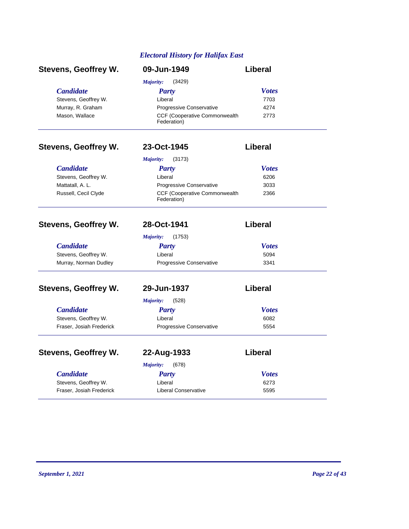#### *Electoral History for Halifax East*

| <b>Stevens, Geoffrey W.</b> | 09-Jun-1949                                         | <b>Liberal</b> |
|-----------------------------|-----------------------------------------------------|----------------|
|                             | (3429)<br>Majority:                                 |                |
| <b>Candidate</b>            | <b>Party</b>                                        | <b>Votes</b>   |
| Stevens, Geoffrey W.        | Liberal                                             | 7703           |
| Murray, R. Graham           | Progressive Conservative                            | 4274           |
| Mason, Wallace              | CCF (Cooperative Commonwealth<br>Federation)        | 2773           |
| <b>Stevens, Geoffrey W.</b> | 23-Oct-1945                                         | <b>Liberal</b> |
|                             | (3173)<br>Majority:                                 |                |
| <b>Candidate</b>            | <b>Party</b>                                        | <b>Votes</b>   |
| Stevens, Geoffrey W.        | Liberal                                             | 6206           |
| Mattatall, A. L.            | Progressive Conservative                            | 3033           |
| Russell, Cecil Clyde        | <b>CCF (Cooperative Commonwealth</b><br>Federation) | 2366           |
| <b>Stevens, Geoffrey W.</b> | 28-Oct-1941                                         | <b>Liberal</b> |
|                             | (1753)<br><b>Majority:</b>                          |                |
| <b>Candidate</b>            | <b>Party</b>                                        | <b>Votes</b>   |
| Stevens, Geoffrey W.        | Liberal                                             | 5094           |
| Murray, Norman Dudley       | Progressive Conservative                            | 3341           |
| <b>Stevens, Geoffrey W.</b> | 29-Jun-1937                                         | Liberal        |
|                             | (528)<br><b>Majority:</b>                           |                |
| <b>Candidate</b>            | <b>Party</b>                                        | <b>Votes</b>   |
| Stevens, Geoffrey W.        | Liberal                                             | 6082           |
| Fraser, Josiah Frederick    | Progressive Conservative                            | 5554           |
| <b>Stevens, Geoffrey W.</b> | 22-Aug-1933                                         | Liberal        |
|                             | Majority:<br>(678)                                  |                |
| <b>Candidate</b>            | <b>Party</b>                                        | <b>Votes</b>   |
| Stevens, Geoffrey W.        | Liberal                                             | 6273           |
| Fraser, Josiah Frederick    | <b>Liberal Conservative</b>                         | 5595           |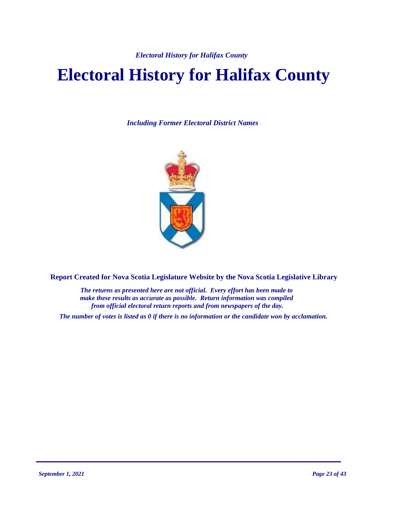# **Electoral History for Halifax County**

*Including Former Electoral District Names*



**Report Created for Nova Scotia Legislature Website by the Nova Scotia Legislative Library**

*The returns as presented here are not official. Every effort has been made to make these results as accurate as possible. Return information was compiled from official electoral return reports and from newspapers of the day.*

*The number of votes is listed as 0 if there is no information or the candidate won by acclamation.*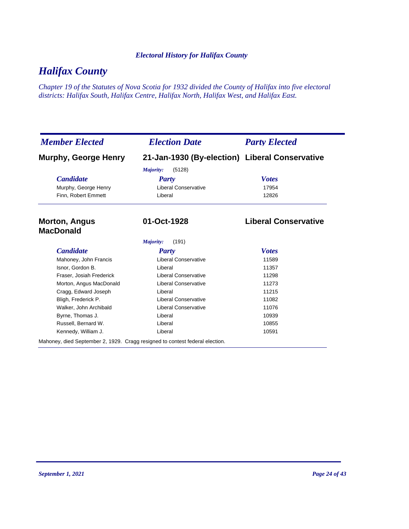### *Halifax County*

*Chapter 19 of the Statutes of Nova Scotia for 1932 divided the County of Halifax into five electoral districts: Halifax South, Halifax Centre, Halifax North, Halifax West, and Halifax East.*

| <b>Member Elected</b>                                                        | <b>Election Date</b>                           | <b>Party Elected</b>        |
|------------------------------------------------------------------------------|------------------------------------------------|-----------------------------|
| <b>Murphy, George Henry</b>                                                  | 21-Jan-1930 (By-election) Liberal Conservative |                             |
|                                                                              | (5128)<br>Majority:                            |                             |
| <b>Candidate</b>                                                             | Party                                          | <b>Votes</b>                |
| Murphy, George Henry                                                         | Liberal Conservative                           | 17954                       |
| Finn, Robert Emmett                                                          | Liberal                                        | 12826                       |
| <b>Morton, Angus</b><br><b>MacDonald</b>                                     | 01-Oct-1928                                    | <b>Liberal Conservative</b> |
|                                                                              | Majority:<br>(191)                             |                             |
| <b>Candidate</b>                                                             | <b>Party</b>                                   | <b>Votes</b>                |
| Mahoney, John Francis                                                        | <b>Liberal Conservative</b>                    | 11589                       |
| Isnor, Gordon B.                                                             | Liberal                                        | 11357                       |
| Fraser, Josiah Frederick                                                     | <b>Liberal Conservative</b>                    | 11298                       |
| Morton, Angus MacDonald                                                      | <b>Liberal Conservative</b>                    | 11273                       |
| Cragg, Edward Joseph                                                         | Liberal                                        | 11215                       |
| Bligh, Frederick P.                                                          | <b>Liberal Conservative</b>                    | 11082                       |
| Walker, John Archibald                                                       | <b>Liberal Conservative</b>                    | 11076                       |
| Byrne, Thomas J.                                                             | Liberal                                        | 10939                       |
| Russell, Bernard W.                                                          | Liberal                                        | 10855                       |
| Kennedy, William J.                                                          | Liberal                                        | 10591                       |
| Mahoney, died September 2, 1929. Cragg resigned to contest federal election. |                                                |                             |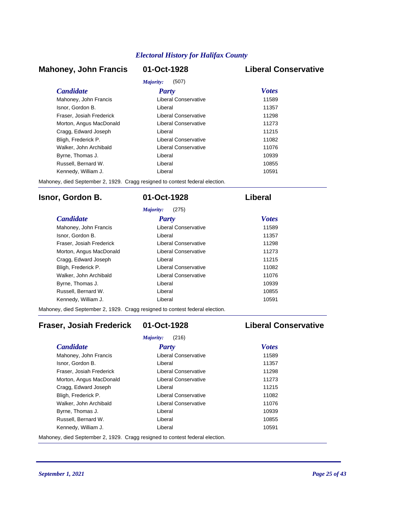#### **Mahoney, John Francis 01-Oct-1928 Liberal Conservative**

| Majority:<br>(507)       |                      |              |  |
|--------------------------|----------------------|--------------|--|
| <i>Candidate</i>         | Party                | <b>Votes</b> |  |
| Mahoney, John Francis    | Liberal Conservative | 11589        |  |
| Isnor, Gordon B.         | Liberal              | 11357        |  |
| Fraser, Josiah Frederick | Liberal Conservative | 11298        |  |
| Morton, Angus MacDonald  | Liberal Conservative | 11273        |  |
| Cragg, Edward Joseph     | I iberal             | 11215        |  |
| Bligh, Frederick P.      | Liberal Conservative | 11082        |  |
| Walker, John Archibald   | Liberal Conservative | 11076        |  |
| Byrne, Thomas J.         | Liberal              | 10939        |  |
| Russell, Bernard W.      | I iberal             | 10855        |  |
| Kennedy, William J.      | I iberal             | 10591        |  |

Mahoney, died September 2, 1929. Cragg resigned to contest federal election.

#### **Isnor, Gordon B. 01-Oct-1928 Liberal**

|                          | (275)<br>Majority:   |              |
|--------------------------|----------------------|--------------|
| <b>Candidate</b>         | Party                | <b>Votes</b> |
| Mahoney, John Francis    | Liberal Conservative | 11589        |
| Isnor, Gordon B.         | I iberal             | 11357        |
| Fraser, Josiah Frederick | Liberal Conservative | 11298        |
| Morton, Angus MacDonald  | Liberal Conservative | 11273        |
| Cragg, Edward Joseph     | I iberal             | 11215        |
| Bligh, Frederick P.      | Liberal Conservative | 11082        |
| Walker, John Archibald   | Liberal Conservative | 11076        |
| Byrne, Thomas J.         | I iberal             | 10939        |
| Russell, Bernard W.      | Liberal              | 10855        |
| Kennedy, William J.      | Liberal              | 10591        |

Mahoney, died September 2, 1929. Cragg resigned to contest federal election.

### **Fraser, Josiah Frederick 01-Oct-1928 Liberal Conservative**

| (216)<br>Majority:       |                      |              |  |
|--------------------------|----------------------|--------------|--|
| <b>Candidate</b>         | Party                | <b>Votes</b> |  |
| Mahoney, John Francis    | Liberal Conservative | 11589        |  |
| Isnor, Gordon B.         | Liberal              | 11357        |  |
| Fraser, Josiah Frederick | Liberal Conservative | 11298        |  |
| Morton, Angus MacDonald  | Liberal Conservative | 11273        |  |
| Cragg, Edward Joseph     | Liberal              | 11215        |  |
| Bligh, Frederick P.      | Liberal Conservative | 11082        |  |
| Walker, John Archibald   | Liberal Conservative | 11076        |  |
| Byrne, Thomas J.         | Liberal              | 10939        |  |
| Russell, Bernard W.      | Liberal              | 10855        |  |
| Kennedy, William J.      | Liberal              | 10591        |  |

Mahoney, died September 2, 1929. Cragg resigned to contest federal election.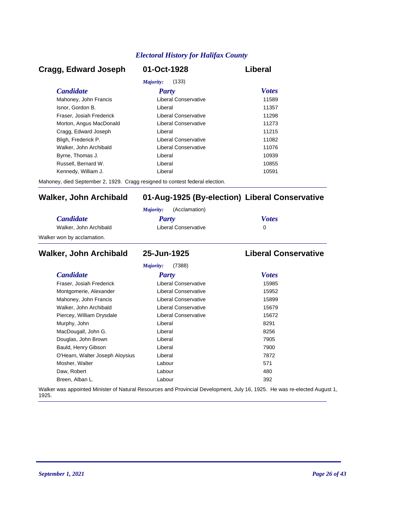#### *Candidate Party Votes* **Cragg, Edward Joseph 01-Oct-1928 Liberal** *Majority:* (133) Mahoney, John Francis **Liberal Conservative** 11589 Isnor, Gordon B. Liberal 11357 Fraser, Josiah Frederick Liberal Conservative 11298 Morton, Angus MacDonald **Liberal Conservative** 11273 Cragg, Edward Joseph Liberal 11215 Bligh, Frederick P. Liberal Conservative 11082 Walker, John Archibald **Liberal Conservative** 11076 Byrne, Thomas J. Christian Liberal Liberal Christian Museum and the 10939 Russell, Bernard W. Liberal 10855 Kennedy, William J. Christian Liberal Liberal Christian Museum of the 10591

Mahoney, died September 2, 1929. Cragg resigned to contest federal election.

#### **Walker, John Archibald 01-Aug-1925 (By-election) Liberal Conservative**

|                            | (Acclamation)<br>Maiority: |              |
|----------------------------|----------------------------|--------------|
| <i>Candidate</i>           | Party                      | <b>Votes</b> |
| Walker, John Archibald     | Liberal Conservative       |              |
| Walker won by acclamation. |                            |              |

#### *Candidate Party Votes* **Walker, John Archibald 25-Jun-1925 Liberal Conservative** *Majority:* (7388) Fraser, Josiah Frederick Liberal Conservative 15985 Montgomerie, Alexander **Liberal Conservative** 15952 Mahoney, John Francis **Liberal Conservative** 15899 Walker, John Archibald **Liberal Conservative** 15679 Piercey, William Drysdale **Liberal Conservative** 15672 Murphy, John **Base Communist Communist Communist Communist Communist Communist Communist Communist Communist Communist Communist Communist Communist Communist Communist Communist Communist Communist Communist Communist Com** MacDougall, John G. Christian Muslim Liberal Christian Muslim Bacher 8256 Douglas, John Brown **Digest Example 2018** Liberal *T905* 7905 Bauld, Henry Gibson Liberal 7900 O'Hearn, Walter Joseph Aloysius Liberal Liberal 27872 Mosher, Walter **Contract Contract Contract Contract Contract Contract Contract Contract Contract Contract Contract Contract Contract Contract Contract Contract Contract Contract Contract Contract Contract Contract Contract** Daw, Robert 280 and 200 km control and 200 km control and 200 km control and 200 km control and 200 km control and 200 km control and 200 km control and 200 km control and 200 km control and 200 km control and 200 km contr Breen, Alban L. Labour 392

Walker was appointed Minister of Natural Resources and Provincial Development, July 16, 1925. He was re-elected August 1, 1925.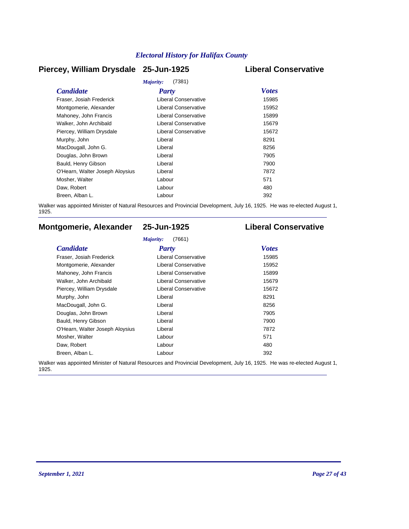#### **Piercey, William Drysdale 25-Jun-1925 Liberal Conservative**

| Majority:<br>(7381)             |                             |              |  |  |
|---------------------------------|-----------------------------|--------------|--|--|
| <b>Candidate</b>                | <b>Party</b>                | <b>Votes</b> |  |  |
| Fraser, Josiah Frederick        | Liberal Conservative        | 15985        |  |  |
| Montgomerie, Alexander          | <b>Liberal Conservative</b> | 15952        |  |  |
| Mahoney, John Francis           | Liberal Conservative        | 15899        |  |  |
| Walker, John Archibald          | <b>Liberal Conservative</b> | 15679        |  |  |
| Piercey, William Drysdale       | Liberal Conservative        | 15672        |  |  |
| Murphy, John                    | Liberal                     | 8291         |  |  |
| MacDougall, John G.             | Liberal                     | 8256         |  |  |
| Douglas, John Brown             | Liberal                     | 7905         |  |  |
| Bauld, Henry Gibson             | Liberal                     | 7900         |  |  |
| O'Hearn, Walter Joseph Aloysius | Liberal                     | 7872         |  |  |
| Mosher, Walter                  | Labour                      | 571          |  |  |
| Daw, Robert                     | Labour                      | 480          |  |  |
| Breen, Alban L.                 | Labour                      | 392          |  |  |

Walker was appointed Minister of Natural Resources and Provincial Development, July 16, 1925. He was re-elected August 1, 1925.

### **Montgomerie, Alexander 25-Jun-1925 Liberal Conservative**

#### *Majority:* (7661)

| <b>Candidate</b>                | Party                       | <b>Votes</b> |
|---------------------------------|-----------------------------|--------------|
| Fraser, Josiah Frederick        | Liberal Conservative        | 15985        |
| Montgomerie, Alexander          | Liberal Conservative        | 15952        |
| Mahoney, John Francis           | Liberal Conservative        | 15899        |
| Walker, John Archibald          | <b>Liberal Conservative</b> | 15679        |
| Piercey, William Drysdale       | Liberal Conservative        | 15672        |
| Murphy, John                    | Liberal                     | 8291         |
| MacDougall, John G.             | Liberal                     | 8256         |
| Douglas, John Brown             | Liberal                     | 7905         |
| Bauld, Henry Gibson             | Liberal                     | 7900         |
| O'Hearn, Walter Joseph Aloysius | Liberal                     | 7872         |
| Mosher, Walter                  | Labour                      | 571          |
| Daw, Robert                     | Labour                      | 480          |
| Breen, Alban L.                 | Labour                      | 392          |

Walker was appointed Minister of Natural Resources and Provincial Development, July 16, 1925. He was re-elected August 1, 1925.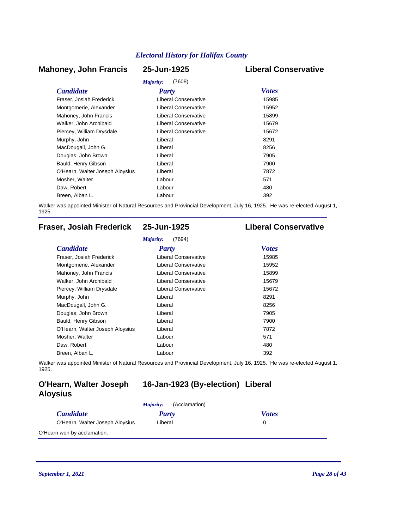#### **Mahoney, John Francis 25-Jun-1925 Liberal Conservative**

### *Majority:* (7608)

| <i>Majority:</i><br>(7608)  |              |  |  |
|-----------------------------|--------------|--|--|
| <b>Party</b>                | <b>Votes</b> |  |  |
| Liberal Conservative        | 15985        |  |  |
| <b>Liberal Conservative</b> | 15952        |  |  |
| Liberal Conservative        | 15899        |  |  |
| Liberal Conservative        | 15679        |  |  |
| Liberal Conservative        | 15672        |  |  |
| Liberal                     | 8291         |  |  |
| Liberal                     | 8256         |  |  |
| Liberal                     | 7905         |  |  |
| Liberal                     | 7900         |  |  |
| Liberal                     | 7872         |  |  |
| Labour                      | 571          |  |  |
| Labour                      | 480          |  |  |
| Labour                      | 392          |  |  |
|                             |              |  |  |

Walker was appointed Minister of Natural Resources and Provincial Development, July 16, 1925. He was re-elected August 1, 1925.

### **Fraser, Josiah Frederick 25-Jun-1925 Liberal Conservative**

| <b>Candidate</b>                | <b>Party</b>                | <b>Votes</b> |
|---------------------------------|-----------------------------|--------------|
| Fraser, Josiah Frederick        | Liberal Conservative        | 15985        |
| Montgomerie, Alexander          | <b>Liberal Conservative</b> | 15952        |
| Mahoney, John Francis           | Liberal Conservative        | 15899        |
| Walker, John Archibald          | Liberal Conservative        | 15679        |
| Piercey, William Drysdale       | <b>Liberal Conservative</b> | 15672        |
| Murphy, John                    | Liberal                     | 8291         |
| MacDougall, John G.             | Liberal                     | 8256         |
| Douglas, John Brown             | Liberal                     | 7905         |
| Bauld, Henry Gibson             | Liberal                     | 7900         |
| O'Hearn, Walter Joseph Aloysius | Liberal                     | 7872         |
| Mosher, Walter                  | Labour                      | 571          |
| Daw, Robert                     | Labour                      | 480          |
| Breen, Alban L.                 | Labour                      | 392          |

Walker was appointed Minister of Natural Resources and Provincial Development, July 16, 1925. He was re-elected August 1, 1925.

#### **O'Hearn, Walter Joseph 16-Jan-1923 (By-election) Liberal Aloysius**

|                                 | (Acclamation)<br>Majority: |              |
|---------------------------------|----------------------------|--------------|
| <i>Candidate</i>                | Party                      | <b>Votes</b> |
| O'Hearn, Walter Joseph Aloysius | Liberal                    |              |
| O'Hearn won by acclamation.     |                            |              |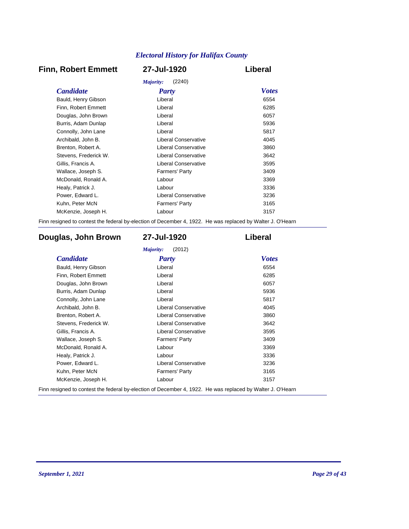### **Finn, Robert Emmett 27-Jul-1920 Liberal**

| (2240)<br>Majority:   |                             |              |
|-----------------------|-----------------------------|--------------|
| <i>Candidate</i>      | <b>Party</b>                | <b>Votes</b> |
| Bauld, Henry Gibson   | Liberal                     | 6554         |
| Finn, Robert Emmett   | Liberal                     | 6285         |
| Douglas, John Brown   | Liberal                     | 6057         |
| Burris, Adam Dunlap   | Liberal                     | 5936         |
| Connolly, John Lane   | Liberal                     | 5817         |
| Archibald, John B.    | Liberal Conservative        | 4045         |
| Brenton, Robert A.    | <b>Liberal Conservative</b> | 3860         |
| Stevens, Frederick W. | Liberal Conservative        | 3642         |
| Gillis, Francis A.    | Liberal Conservative        | 3595         |
| Wallace, Joseph S.    | Farmers' Party              | 3409         |
| McDonald, Ronald A.   | Labour                      | 3369         |
| Healy, Patrick J.     | Labour                      | 3336         |
| Power, Edward L.      | Liberal Conservative        | 3236         |
| Kuhn, Peter McN       | <b>Farmers' Party</b>       | 3165         |
| McKenzie, Joseph H.   | Labour                      | 3157         |
|                       |                             |              |

Finn resigned to contest the federal by-election of December 4, 1922. He was replaced by Walter J. O'Hearn

### **Douglas, John Brown 27-Jul-1920 Liberal**

| <b>Candidate</b>      | Party                       | <b>Votes</b> |
|-----------------------|-----------------------------|--------------|
| Bauld, Henry Gibson   | Liberal                     | 6554         |
| Finn, Robert Emmett   | Liberal                     | 6285         |
| Douglas, John Brown   | Liberal                     | 6057         |
| Burris, Adam Dunlap   | Liberal                     | 5936         |
| Connolly, John Lane   | Liberal                     | 5817         |
| Archibald, John B.    | <b>Liberal Conservative</b> | 4045         |
| Brenton, Robert A.    | <b>Liberal Conservative</b> | 3860         |
| Stevens, Frederick W. | <b>Liberal Conservative</b> | 3642         |
| Gillis, Francis A.    | <b>Liberal Conservative</b> | 3595         |
| Wallace, Joseph S.    | <b>Farmers' Party</b>       | 3409         |
| McDonald, Ronald A.   | Labour                      | 3369         |
| Healy, Patrick J.     | Labour                      | 3336         |
| Power, Edward L.      | <b>Liberal Conservative</b> | 3236         |
| Kuhn, Peter McN       | Farmers' Party              | 3165         |
| McKenzie, Joseph H.   | Labour                      | 3157         |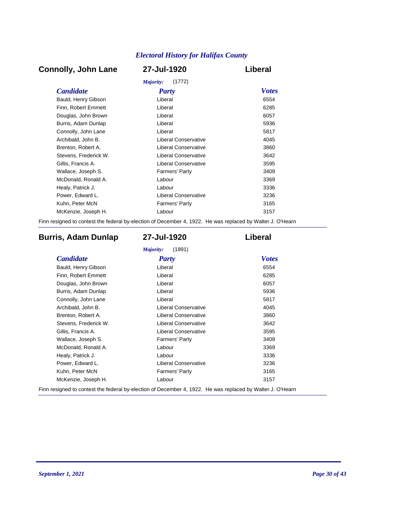### **Connolly, John Lane 27-Jul-1920 Liberal**

| Majority:<br>(1772)   |                             |              |  |
|-----------------------|-----------------------------|--------------|--|
| <b>Candidate</b>      | Party                       | <b>Votes</b> |  |
| Bauld, Henry Gibson   | Liberal                     | 6554         |  |
| Finn, Robert Emmett   | Liberal                     | 6285         |  |
| Douglas, John Brown   | Liberal                     | 6057         |  |
| Burris, Adam Dunlap   | Liberal                     | 5936         |  |
| Connolly, John Lane   | Liberal                     | 5817         |  |
| Archibald, John B.    | Liberal Conservative        | 4045         |  |
| Brenton, Robert A.    | <b>Liberal Conservative</b> | 3860         |  |
| Stevens, Frederick W. | Liberal Conservative        | 3642         |  |
| Gillis, Francis A.    | Liberal Conservative        | 3595         |  |
| Wallace, Joseph S.    | <b>Farmers' Party</b>       | 3409         |  |
| McDonald, Ronald A.   | Labour                      | 3369         |  |
| Healy, Patrick J.     | Labour                      | 3336         |  |
| Power, Edward L.      | <b>Liberal Conservative</b> | 3236         |  |
| Kuhn, Peter McN       | <b>Farmers' Party</b>       | 3165         |  |
| McKenzie, Joseph H.   | Labour                      | 3157         |  |
|                       |                             |              |  |

Finn resigned to contest the federal by-election of December 4, 1922. He was replaced by Walter J. O'Hearn

### **Burris, Adam Dunlap 27-Jul-1920 Liberal**

| <b>Candidate</b>      | <b>Party</b>                | <b>Votes</b> |
|-----------------------|-----------------------------|--------------|
| Bauld, Henry Gibson   | Liberal                     | 6554         |
| Finn, Robert Emmett   | Liberal                     | 6285         |
| Douglas, John Brown   | Liberal                     | 6057         |
| Burris, Adam Dunlap   | Liberal                     | 5936         |
| Connolly, John Lane   | Liberal                     | 5817         |
| Archibald, John B.    | Liberal Conservative        | 4045         |
| Brenton, Robert A.    | <b>Liberal Conservative</b> | 3860         |
| Stevens, Frederick W. | <b>Liberal Conservative</b> | 3642         |
| Gillis, Francis A.    | <b>Liberal Conservative</b> | 3595         |
| Wallace, Joseph S.    | <b>Farmers' Party</b>       | 3409         |
| McDonald, Ronald A.   | Labour                      | 3369         |
| Healy, Patrick J.     | Labour                      | 3336         |
| Power, Edward L.      | <b>Liberal Conservative</b> | 3236         |
| Kuhn, Peter McN       | <b>Farmers' Party</b>       | 3165         |
| McKenzie, Joseph H.   | Labour                      | 3157         |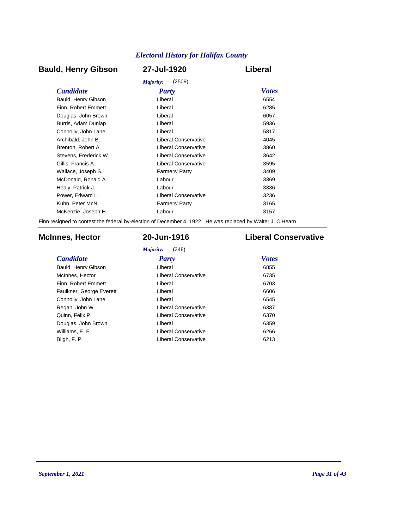### **Bauld, Henry Gibson 27-Jul-1920 Liberal**

|                       | (2509)<br>Majority:   |              |
|-----------------------|-----------------------|--------------|
| <b>Candidate</b>      | <b>Party</b>          | <b>Votes</b> |
| Bauld, Henry Gibson   | Liberal               | 6554         |
| Finn, Robert Emmett   | Liberal               | 6285         |
| Douglas, John Brown   | Liberal               | 6057         |
| Burris, Adam Dunlap   | Liberal               | 5936         |
| Connolly, John Lane   | Liberal               | 5817         |
| Archibald, John B.    | Liberal Conservative  | 4045         |
| Brenton, Robert A.    | Liberal Conservative  | 3860         |
| Stevens. Frederick W. | Liberal Conservative  | 3642         |
| Gillis, Francis A.    | Liberal Conservative  | 3595         |
| Wallace, Joseph S.    | <b>Farmers' Party</b> | 3409         |
| McDonald, Ronald A.   | Labour                | 3369         |
| Healy, Patrick J.     | Labour                | 3336         |
| Power, Edward L.      | Liberal Conservative  | 3236         |
| Kuhn, Peter McN       | <b>Farmers' Party</b> | 3165         |
| McKenzie, Joseph H.   | Labour                | 3157         |
|                       |                       |              |

Finn resigned to contest the federal by-election of December 4, 1922. He was replaced by Walter J. O'Hearn

### **McInnes, Hector 20-Jun-1916 Liberal Conservative**

*Majority:* (348)

| <b>Candidate</b>         | Party                       | <b>Votes</b> |
|--------------------------|-----------------------------|--------------|
| Bauld, Henry Gibson      | Liberal                     | 6855         |
| McInnes, Hector          | Liberal Conservative        | 6735         |
| Finn, Robert Emmett      | Liberal                     | 6703         |
| Faulkner, George Everett | Liberal                     | 6606         |
| Connolly, John Lane      | Liberal                     | 6545         |
| Regan, John W.           | <b>Liberal Conservative</b> | 6387         |
| Quinn, Felix P.          | Liberal Conservative        | 6370         |
| Douglas, John Brown      | Liberal                     | 6359         |
| Williams, E. F.          | Liberal Conservative        | 6266         |
| Bligh, F. P.             | <b>Liberal Conservative</b> | 6213         |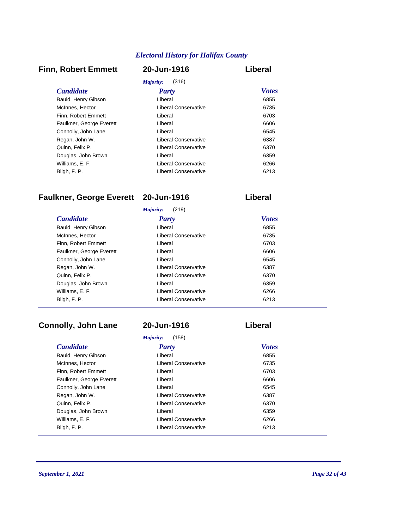#### **Finn, Robert Emmett 20-Jun-1916 Liberal**

| Majority:<br>(316)       |                      |              |
|--------------------------|----------------------|--------------|
| <i>Candidate</i>         | Party                | <b>Votes</b> |
| Bauld, Henry Gibson      | Liberal              | 6855         |
| McInnes, Hector          | Liberal Conservative | 6735         |
| Finn, Robert Emmett      | Liberal              | 6703         |
| Faulkner, George Everett | Liberal              | 6606         |
| Connolly, John Lane      | Liberal              | 6545         |
| Regan, John W.           | Liberal Conservative | 6387         |
| Quinn, Felix P.          | Liberal Conservative | 6370         |
| Douglas, John Brown      | Liberal              | 6359         |
| Williams, E. F.          | Liberal Conservative | 6266         |
| Bligh, F. P.             | Liberal Conservative | 6213         |

### **Faulkner, George Everett 20-Jun-1916 Liberal**

| (219)<br>Majority:       |                      |              |
|--------------------------|----------------------|--------------|
| <b>Candidate</b>         | Party                | <b>Votes</b> |
| Bauld, Henry Gibson      | Liberal              | 6855         |
| McInnes, Hector          | Liberal Conservative | 6735         |
| Finn. Robert Emmett      | Liberal              | 6703         |
| Faulkner, George Everett | Liberal              | 6606         |
| Connolly, John Lane      | Liberal              | 6545         |
| Regan, John W.           | Liberal Conservative | 6387         |
| Quinn, Felix P.          | Liberal Conservative | 6370         |
| Douglas, John Brown      | Liberal              | 6359         |
| Williams, E. F.          | Liberal Conservative | 6266         |
| Bligh, F. P.             | Liberal Conservative | 6213         |

### **Connolly, John Lane 20-Jun-1916 Liberal**

# *Majority:* (158)

| <i>Majority:</i><br>(158) |                      |              |
|---------------------------|----------------------|--------------|
| <b>Candidate</b>          | Party                | <b>Votes</b> |
| Bauld, Henry Gibson       | Liberal              | 6855         |
| McInnes, Hector           | Liberal Conservative | 6735         |
| Finn. Robert Emmett       | Liberal              | 6703         |
| Faulkner, George Everett  | Liberal              | 6606         |
| Connolly, John Lane       | Liberal              | 6545         |
| Regan, John W.            | Liberal Conservative | 6387         |
| Quinn, Felix P.           | Liberal Conservative | 6370         |
| Douglas, John Brown       | Liberal              | 6359         |
| Williams, E. F.           | Liberal Conservative | 6266         |
| Bligh, F. P.              | Liberal Conservative | 6213         |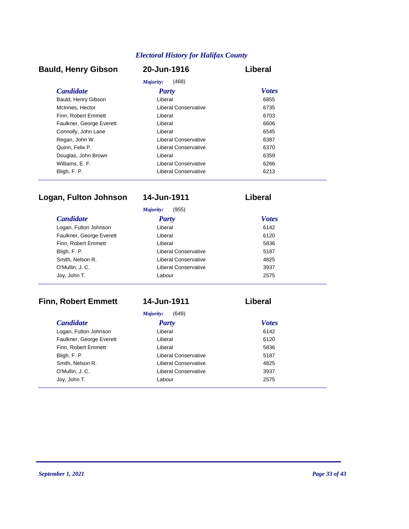### **Bauld, Henry Gibson 20-Jun-1916 Liberal**

| Majority:<br>(468)       |                      |              |
|--------------------------|----------------------|--------------|
| <i>Candidate</i>         | Party                | <b>Votes</b> |
| Bauld, Henry Gibson      | Liberal              | 6855         |
| McInnes, Hector          | Liberal Conservative | 6735         |
| Finn, Robert Emmett      | Liberal              | 6703         |
| Faulkner, George Everett | Liberal              | 6606         |
| Connolly, John Lane      | Liberal              | 6545         |
| Regan, John W.           | Liberal Conservative | 6387         |
| Quinn, Felix P.          | Liberal Conservative | 6370         |
| Douglas, John Brown      | Liberal              | 6359         |
| Williams, E. F.          | Liberal Conservative | 6266         |
| Bligh, F. P.             | Liberal Conservative | 6213         |

### **Logan, Fulton Johnson 14-Jun-1911 Liberal**

|                          | (955)<br>Majority:          |              |
|--------------------------|-----------------------------|--------------|
| <b>Candidate</b>         | <b>Party</b>                | <b>Votes</b> |
| Logan, Fulton Johnson    | Liberal                     | 6142         |
| Faulkner, George Everett | Liberal                     | 6120         |
| Finn, Robert Emmett      | Liberal                     | 5836         |
| Bligh, F. P.             | Liberal Conservative        | 5187         |
| Smith, Nelson R.         | Liberal Conservative        | 4825         |
| O'Mullin, J. C.          | <b>Liberal Conservative</b> | 3937         |
| Joy, John T.             | Labour                      | 2575         |

### **Finn, Robert Emmett 14-Jun-1911 Liberal**

*Majority:* (649)

| <b>Candidate</b>         | <b>Party</b>                | <b>Votes</b> |
|--------------------------|-----------------------------|--------------|
| Logan, Fulton Johnson    | Liberal                     | 6142         |
| Faulkner, George Everett | Liberal                     | 6120         |
| Finn, Robert Emmett      | Liberal                     | 5836         |
| Bligh, F. P.             | Liberal Conservative        | 5187         |
| Smith, Nelson R.         | <b>Liberal Conservative</b> | 4825         |
| O'Mullin, J. C.          | Liberal Conservative        | 3937         |
| Joy, John T.             | Labour                      | 2575         |
|                          |                             |              |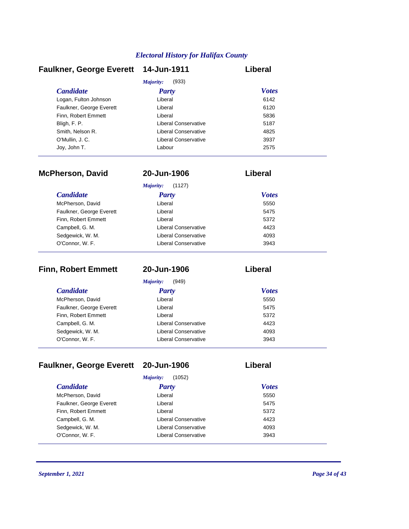| <b>Faulkner, George Everett</b> | 14-Jun-1911          | Liberal      |
|---------------------------------|----------------------|--------------|
|                                 | Majority:<br>(933)   |              |
| <b>Candidate</b>                | <b>Party</b>         | <b>Votes</b> |
| Logan, Fulton Johnson           | Liberal              | 6142         |
| Faulkner, George Everett        | Liberal              | 6120         |
| Finn. Robert Emmett             | Liberal              | 5836         |
| Bligh, F. P.                    | Liberal Conservative | 5187         |
| Smith, Nelson R.                | Liberal Conservative | 4825         |
| O'Mullin, J.C.                  | Liberal Conservative | 3937         |
| Joy, John T.                    | Labour               | 2575         |

| <b>McPherson, David</b>  | 20-Jun-1906                 | Liberal      |  |
|--------------------------|-----------------------------|--------------|--|
|                          | Majority:<br>(1127)         |              |  |
| <i>Candidate</i>         | <b>Party</b>                | <b>Votes</b> |  |
| McPherson, David         | Liberal                     | 5550         |  |
| Faulkner, George Everett | Liberal                     | 5475         |  |
| Finn, Robert Emmett      | Liberal                     | 5372         |  |
| Campbell, G. M.          | Liberal Conservative        | 4423         |  |
| Sedgewick, W. M.         | Liberal Conservative        | 4093         |  |
| O'Connor, W. F.          | <b>Liberal Conservative</b> | 3943         |  |

| <b>Finn, Robert Emmett</b> | 20-Jun-1906          | Liberal      |  |
|----------------------------|----------------------|--------------|--|
|                            | Majority:<br>(949)   |              |  |
| <b>Candidate</b>           | <b>Party</b>         | <b>Votes</b> |  |
| McPherson, David           | Liberal              | 5550         |  |
| Faulkner, George Everett   | Liberal              | 5475         |  |
| Finn, Robert Emmett        | Liberal              | 5372         |  |
| Campbell, G. M.            | Liberal Conservative | 4423         |  |
| Sedgewick, W. M.           | Liberal Conservative | 4093         |  |
| O'Connor, W. F.            | Liberal Conservative | 3943         |  |

### **Faulkner, George Everett 20-Jun-1906 Liberal**

| (1052)<br>Majority:      |                      |              |
|--------------------------|----------------------|--------------|
| <b>Candidate</b>         | <b>Party</b>         | <b>Votes</b> |
| McPherson, David         | Liberal              | 5550         |
| Faulkner, George Everett | Liberal              | 5475         |
| Finn, Robert Emmett      | Liberal              | 5372         |
| Campbell, G. M.          | Liberal Conservative | 4423         |
| Sedgewick, W. M.         | Liberal Conservative | 4093         |
| O'Connor, W. F.          | Liberal Conservative | 3943         |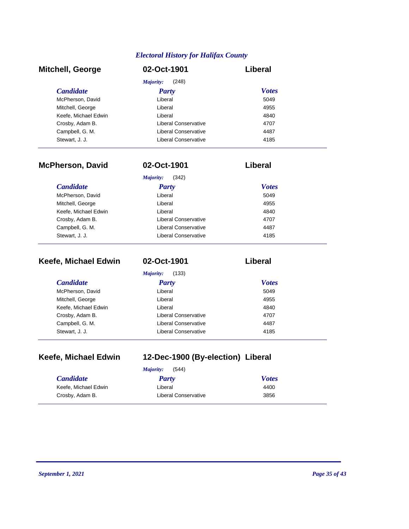| <b>Mitchell, George</b> | 02-Oct-1901          | Liberal      |
|-------------------------|----------------------|--------------|
|                         | (248)<br>Majority:   |              |
| <b>Candidate</b>        | <b>Party</b>         | <b>Votes</b> |
| McPherson, David        | Liberal              | 5049         |
| Mitchell, George        | Liberal              | 4955         |
| Keefe, Michael Edwin    | Liberal              | 4840         |
| Crosby, Adam B.         | Liberal Conservative | 4707         |
| Campbell, G. M.         | Liberal Conservative | 4487         |
| Stewart, J. J.          | Liberal Conservative | 4185         |

| <b>McPherson, David</b> | 02-Oct-1901          | Liberal      |
|-------------------------|----------------------|--------------|
|                         | Majority:<br>(342)   |              |
| <b>Candidate</b>        | Party                | <b>Votes</b> |
| McPherson, David        | Liberal              | 5049         |
| Mitchell, George        | Liberal              | 4955         |
| Keefe, Michael Edwin    | Liberal              | 4840         |
| Crosby, Adam B.         | Liberal Conservative | 4707         |
| Campbell, G. M.         | Liberal Conservative | 4487         |
| Stewart, J. J.          | Liberal Conservative | 4185         |

| Keefe, Michael Edwin | 02-Oct-1901          | Liberal      |
|----------------------|----------------------|--------------|
|                      | Majority:<br>(133)   |              |
| <i>Candidate</i>     | <b>Party</b>         | <b>Votes</b> |
| McPherson, David     | Liberal              | 5049         |
| Mitchell, George     | Liberal              | 4955         |
| Keefe, Michael Edwin | Liberal              | 4840         |
| Crosby, Adam B.      | Liberal Conservative | 4707         |
| Campbell, G. M.      | Liberal Conservative | 4487         |
| Stewart, J. J.       | Liberal Conservative | 4185         |

### **Keefe, Michael Edwin 12-Dec-1900 (By-election) Liberal**

|                      | (544)<br>Majority:   |              |
|----------------------|----------------------|--------------|
| <i>Candidate</i>     | Party                | <b>Votes</b> |
| Keefe, Michael Edwin | Liberal              | 4400         |
| Crosby, Adam B.      | Liberal Conservative | 3856         |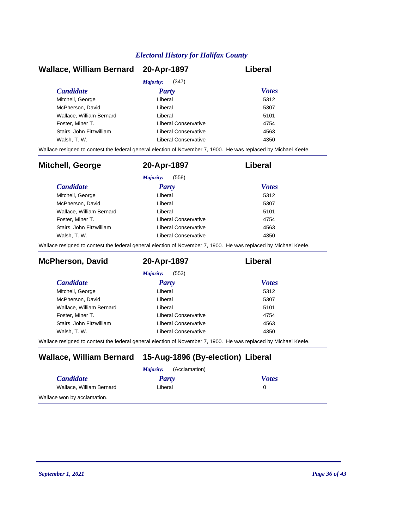| Wallace, William Bernard 20-Apr-1897 |                      | Liberal      |
|--------------------------------------|----------------------|--------------|
|                                      | (347)<br>Majority:   |              |
| <b>Candidate</b>                     | Party                | <b>Votes</b> |
| Mitchell, George                     | Liberal              | 5312         |
| McPherson, David                     | Liberal              | 5307         |
| Wallace, William Bernard             | Liberal              | 5101         |
| Foster, Miner T.                     | Liberal Conservative | 4754         |
| Stairs. John Fitzwilliam             | Liberal Conservative | 4563         |
| Walsh, T. W.                         | Liberal Conservative | 4350         |

Wallace resigned to contest the federal general election of November 7, 1900. He was replaced by Michael Keefe.

| <b>Mitchell, George</b>  | 20-Apr-1897          | Liberal      |
|--------------------------|----------------------|--------------|
|                          | (558)<br>Majority:   |              |
| <b>Candidate</b>         | <b>Party</b>         | <b>Votes</b> |
| Mitchell, George         | Liberal              | 5312         |
| McPherson, David         | Liberal              | 5307         |
| Wallace, William Bernard | Liberal              | 5101         |
| Foster, Miner T.         | Liberal Conservative | 4754         |
| Stairs, John Fitzwilliam | Liberal Conservative | 4563         |
| Walsh, T. W.             | Liberal Conservative | 4350         |

Wallace resigned to contest the federal general election of November 7, 1900. He was replaced by Michael Keefe.

| <b>McPherson, David</b>  | 20-Apr-1897          | Liberal      |
|--------------------------|----------------------|--------------|
|                          | (553)<br>Majority:   |              |
| <i>Candidate</i>         | Party                | <b>Votes</b> |
| Mitchell, George         | Liberal              | 5312         |
| McPherson, David         | Liberal              | 5307         |
| Wallace, William Bernard | Liberal              | 5101         |
| Foster, Miner T.         | Liberal Conservative | 4754         |
| Stairs, John Fitzwilliam | Liberal Conservative | 4563         |
| Walsh, T. W.             | Liberal Conservative | 4350         |

Wallace resigned to contest the federal general election of November 7, 1900. He was replaced by Michael Keefe.

### **Wallace, William Bernard 15-Aug-1896 (By-election) Liberal**

| (Acclamation)<br>Majority:  |         |              |
|-----------------------------|---------|--------------|
| <i>Candidate</i>            | Party   | <b>Votes</b> |
| Wallace, William Bernard    | Liberal |              |
| Wallace won by acclamation. |         |              |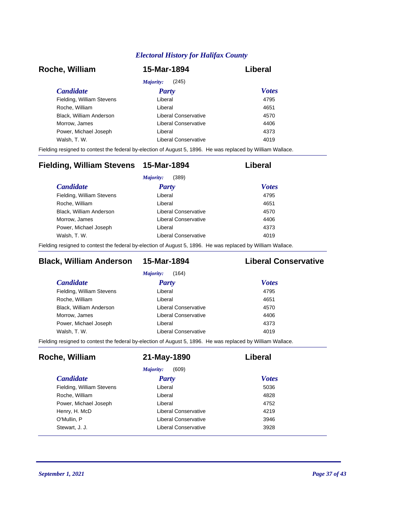| Roche, William            | 15-Mar-1894          | Liberal      |
|---------------------------|----------------------|--------------|
|                           | (245)<br>Majority:   |              |
| <i>Candidate</i>          | <b>Party</b>         | <b>Votes</b> |
| Fielding, William Stevens | Liberal              | 4795         |
| Roche, William            | Liberal              | 4651         |
| Black, William Anderson   | Liberal Conservative | 4570         |
| Morrow, James             | Liberal Conservative | 4406         |
| Power, Michael Joseph     | Liberal              | 4373         |
| Walsh, T. W.              | Liberal Conservative | 4019         |

Fielding resigned to contest the federal by-election of August 5, 1896. He was replaced by William Wallace.

| Fielding, William Stevens 15-Mar-1894 |                      | Liberal      |
|---------------------------------------|----------------------|--------------|
|                                       | (389)<br>Majority:   |              |
| <i>Candidate</i>                      | Party                | <b>Votes</b> |
| Fielding, William Stevens             | Liberal              | 4795         |
| Roche, William                        | Liberal              | 4651         |
| Black, William Anderson               | Liberal Conservative | 4570         |
| Morrow, James                         | Liberal Conservative | 4406         |
| Power, Michael Joseph                 | Liberal              | 4373         |
| Walsh, T. W.                          | Liberal Conservative | 4019         |
|                                       |                      |              |

Fielding resigned to contest the federal by-election of August 5, 1896. He was replaced by William Wallace.

### **Black, William Anderson 15-Mar-1894 Liberal Conservative**

| Liberal              | 4795 |                              |
|----------------------|------|------------------------------|
| Liberal              | 4651 |                              |
| Liberal Conservative | 4570 |                              |
| Liberal Conservative | 4406 |                              |
| Liberal              | 4373 |                              |
| Liberal Conservative | 4019 |                              |
|                      |      | <b>Votes</b><br><b>Party</b> |

Fielding resigned to contest the federal by-election of August 5, 1896. He was replaced by William Wallace.

| Roche, William            | 21-May-1890          | Liberal      |
|---------------------------|----------------------|--------------|
|                           | (609)<br>Majority:   |              |
| <i>Candidate</i>          | <b>Party</b>         | <b>Votes</b> |
| Fielding, William Stevens | Liberal              | 5036         |
| Roche, William            | Liberal              | 4828         |
| Power, Michael Joseph     | Liberal              | 4752         |
| Henry, H. McD             | Liberal Conservative | 4219         |
| O'Mullin, P               | Liberal Conservative | 3946         |
| Stewart, J. J.            | Liberal Conservative | 3928         |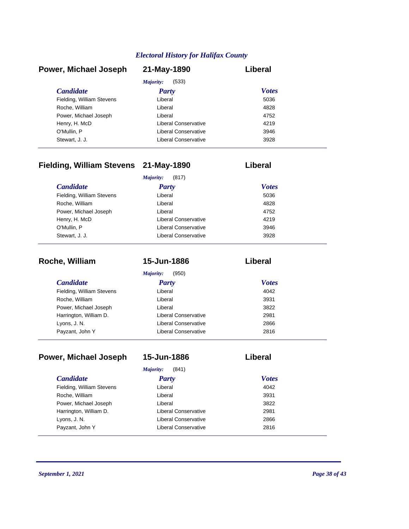| Power, Michael Joseph     | 21-May-1890          | Liberal      |
|---------------------------|----------------------|--------------|
|                           | (533)<br>Majority:   |              |
| <b>Candidate</b>          | <b>Party</b>         | <b>Votes</b> |
| Fielding, William Stevens | Liberal              | 5036         |
| Roche, William            | Liberal              | 4828         |
| Power, Michael Joseph     | Liberal              | 4752         |
| Henry, H. McD             | Liberal Conservative | 4219         |
| O'Mullin, P               | Liberal Conservative | 3946         |
| Stewart, J. J.            | Liberal Conservative | 3928         |

### **Fielding, William Stevens 21-May-1890 Liberal**

|                           | (817)<br>Majority:   |              |
|---------------------------|----------------------|--------------|
| <b>Candidate</b>          | <b>Party</b>         | <b>Votes</b> |
| Fielding, William Stevens | Liberal              | 5036         |
| Roche, William            | Liberal              | 4828         |
| Power, Michael Joseph     | Liberal              | 4752         |
| Henry, H. McD             | Liberal Conservative | 4219         |
| O'Mullin, P               | Liberal Conservative | 3946         |
| Stewart, J. J.            | Liberal Conservative | 3928         |

| Roche, William            | 15-Jun-1886          | Liberal      |
|---------------------------|----------------------|--------------|
|                           | (950)<br>Majority:   |              |
| <i>Candidate</i>          | <b>Party</b>         | <b>Votes</b> |
| Fielding, William Stevens | Liberal              | 4042         |
| Roche, William            | Liberal              | 3931         |
| Power, Michael Joseph     | Liberal              | 3822         |
| Harrington, William D.    | Liberal Conservative | 2981         |
| Lyons, J. N.              | Liberal Conservative | 2866         |
| Payzant, John Y           | Liberal Conservative | 2816         |

| Power, Michael Joseph     | 15-Jun-1886                 | Liberal      |
|---------------------------|-----------------------------|--------------|
|                           | Majority:<br>(841)          |              |
| <i>Candidate</i>          | <b>Party</b>                | <b>Votes</b> |
| Fielding, William Stevens | Liberal                     | 4042         |
| Roche, William            | Liberal                     | 3931         |
| Power, Michael Joseph     | Liberal                     | 3822         |
| Harrington, William D.    | Liberal Conservative        | 2981         |
| Lyons, J. N.              | <b>Liberal Conservative</b> | 2866         |
| Payzant, John Y           | Liberal Conservative        | 2816         |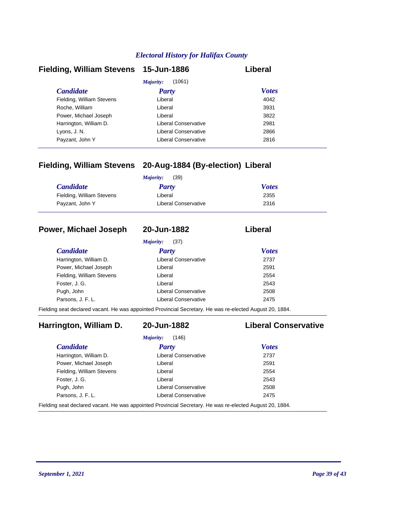| Fielding, William Stevens 15-Jun-1886 |                      | Liberal      |
|---------------------------------------|----------------------|--------------|
|                                       | (1061)<br>Majority:  |              |
| <b>Candidate</b>                      | <b>Party</b>         | <b>Votes</b> |
| Fielding, William Stevens             | Liberal              | 4042         |
| Roche, William                        | Liberal              | 3931         |
| Power, Michael Joseph                 | Liberal              | 3822         |
| Harrington, William D.                | Liberal Conservative | 2981         |
| Lyons, J. N.                          | Liberal Conservative | 2866         |
| Payzant, John Y                       | Liberal Conservative | 2816         |

### **Fielding, William Stevens 20-Aug-1884 (By-election) Liberal**

| <i>Candidate</i>          | Party                | <b>Votes</b> |
|---------------------------|----------------------|--------------|
| Fielding, William Stevens | Liberal              | 2355         |
| Payzant, John Y           | Liberal Conservative | 2316         |

#### **Power, Michael Joseph 20-Jun-1882 Liberal**

*Majority:* (37)

| <b>Candidate</b>          | <b>Party</b>                | <b>Votes</b> |
|---------------------------|-----------------------------|--------------|
| Harrington, William D.    | <b>Liberal Conservative</b> | 2737         |
| Power, Michael Joseph     | Liberal                     | 2591         |
| Fielding, William Stevens | Liberal                     | 2554         |
| Foster, J. G.             | Liberal                     | 2543         |
| Pugh, John                | Liberal Conservative        | 2508         |
| Parsons, J. F. L.         | <b>Liberal Conservative</b> | 2475         |

Fielding seat declared vacant. He was appointed Provincial Secretary. He was re-elected August 20, 1884.

### **Harrington, William D. 20-Jun-1882 Liberal Conservative**

# *Majority:* (146)

| <b>Candidate</b>          | <b>Party</b>                | <b>Votes</b> |
|---------------------------|-----------------------------|--------------|
| Harrington, William D.    | <b>Liberal Conservative</b> | 2737         |
| Power, Michael Joseph     | Liberal                     | 2591         |
| Fielding, William Stevens | Liberal                     | 2554         |
| Foster, J. G.             | Liberal                     | 2543         |
| Pugh, John                | <b>Liberal Conservative</b> | 2508         |
| Parsons, J. F. L.         | <b>Liberal Conservative</b> | 2475         |

Fielding seat declared vacant. He was appointed Provincial Secretary. He was re-elected August 20, 1884.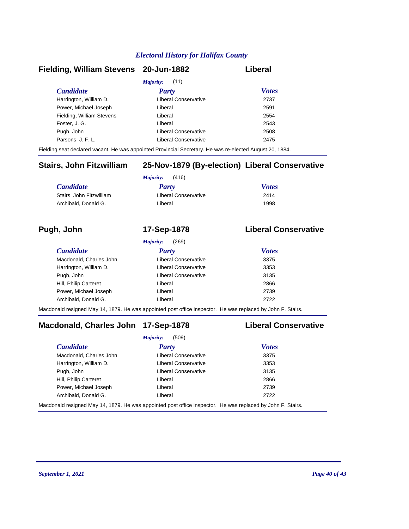#### **Fielding, William Stevens 20-Jun-1882 Liberal**

| <i>Majority:</i> (11)     |                      |              |  |  |
|---------------------------|----------------------|--------------|--|--|
| <b>Candidate</b>          | <b>Party</b>         | <b>Votes</b> |  |  |
| Harrington, William D.    | Liberal Conservative | 2737         |  |  |
| Power, Michael Joseph     | Liberal              | 2591         |  |  |
| Fielding, William Stevens | Liberal              | 2554         |  |  |
| Foster, J. G.             | Liberal              | 2543         |  |  |
| Pugh, John                | Liberal Conservative | 2508         |  |  |
| Parsons, J. F. L.         | Liberal Conservative | 2475         |  |  |
|                           |                      |              |  |  |

Fielding seat declared vacant. He was appointed Provincial Secretary. He was re-elected August 20, 1884.

### **Stairs, John Fitzwilliam 25-Nov-1879 (By-election) Liberal Conservative**

| <b>Candidate</b>         | <b>Party</b>         | <b>Votes</b> |  |
|--------------------------|----------------------|--------------|--|
| Stairs, John Fitzwilliam | Liberal Conservative | 2414         |  |
| Archibald, Donald G.     | Liberal              | 1998         |  |

#### **Pugh, John 17-Sep-1878 Liberal Conservative**

|                         | (269)<br>Majority:   |              |  |
|-------------------------|----------------------|--------------|--|
| <i>Candidate</i>        | <b>Party</b>         | <b>Votes</b> |  |
| Macdonald, Charles John | Liberal Conservative | 3375         |  |
| Harrington, William D.  | Liberal Conservative | 3353         |  |
| Pugh, John              | Liberal Conservative | 3135         |  |
| Hill, Philip Carteret   | Liberal              | 2866         |  |
| Power, Michael Joseph   | Liberal              | 2739         |  |
| Archibald, Donald G.    | Liberal              | 2722         |  |

Macdonald resigned May 14, 1879. He was appointed post office inspector. He was replaced by John F. Stairs.

### **Macdonald, Charles John 17-Sep-1878 Liberal Conservative**

|                         | (509)<br>Majority:                                                                                        |              |
|-------------------------|-----------------------------------------------------------------------------------------------------------|--------------|
| <b>Candidate</b>        | <b>Party</b>                                                                                              | <b>Votes</b> |
| Macdonald, Charles John | <b>Liberal Conservative</b>                                                                               | 3375         |
| Harrington, William D.  | <b>Liberal Conservative</b>                                                                               | 3353         |
| Pugh, John              | Liberal Conservative                                                                                      | 3135         |
| Hill, Philip Carteret   | Liberal                                                                                                   | 2866         |
| Power, Michael Joseph   | Liberal                                                                                                   | 2739         |
| Archibald, Donald G.    | Liberal                                                                                                   | 2722         |
|                         | denald regional Mou 4.4, 4070. He wes appointed pest office increasing. He was replaced by John E. Ctoire |              |

Macdonald resigned May 14, 1879. He was appointed post office inspector. He was replaced by John F. Stairs.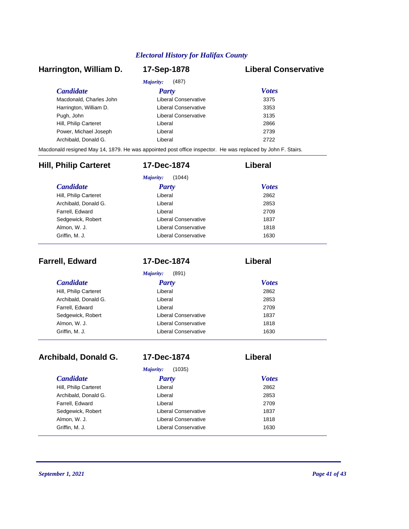### *Candidate Party Votes* **Harrington, William D. 17-Sep-1878 Liberal Conservative** *Majority:* (487) Macdonald, Charles John Liberal Conservative 3375 Harrington, William D. Ciberal Conservative 3353 Pugh, John **Disk and American Conservative** 3135 Hill, Philip Carteret **Liberal** Liberal 2866 Power, Michael Joseph Liberal 2739 Archibald, Donald G. Channel Controller Liberal 2722 2722 Macdonald resigned May 14, 1879. He was appointed post office inspector. He was replaced by John F. Stairs. *Candidate Party Votes* **Hill, Philip Carteret 17-Dec-1874 Liberal** *Majority:* (1044) Hill, Philip Carteret Liberal 2862

| Hill, Philip Carteret | Liberal                     | 2862 |
|-----------------------|-----------------------------|------|
| Archibald, Donald G.  | Liberal                     | 2853 |
| Farrell, Edward       | Liberal                     | 2709 |
| Sedgewick, Robert     | Liberal Conservative        | 1837 |
| Almon, W. J.          | <b>Liberal Conservative</b> | 1818 |
| Griffin, M. J.        | Liberal Conservative        | 1630 |
|                       |                             |      |

| <b>Farrell, Edward</b> | 17-Dec-1874          | Liberal      |  |
|------------------------|----------------------|--------------|--|
|                        | (891)<br>Majority:   |              |  |
| <b>Candidate</b>       | Party                | <b>Votes</b> |  |
| Hill, Philip Carteret  | Liberal              | 2862         |  |
| Archibald, Donald G.   | Liberal              | 2853         |  |
| Farrell, Edward        | Liberal              | 2709         |  |
| Sedgewick, Robert      | Liberal Conservative | 1837         |  |
| Almon, W. J.           | Liberal Conservative | 1818         |  |
| Griffin, M. J.         | Liberal Conservative | 1630         |  |

| Archibald, Donald G.  | 17-Dec-1874          | Liberal      |
|-----------------------|----------------------|--------------|
|                       | (1035)<br>Majority:  |              |
| <i>Candidate</i>      | Party                | <b>Votes</b> |
| Hill, Philip Carteret | Liberal              | 2862         |
| Archibald, Donald G.  | Liberal              | 2853         |
| Farrell, Edward       | Liberal              | 2709         |
| Sedgewick, Robert     | Liberal Conservative | 1837         |
| Almon, W. J.          | Liberal Conservative | 1818         |
| Griffin, M. J.        | Liberal Conservative | 1630         |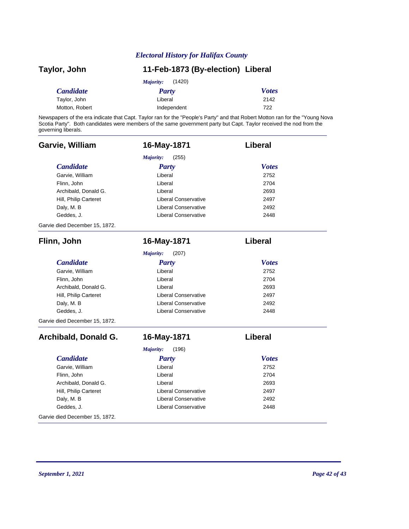| Taylor, John     | 11-Feb-1873 (By-election) Liberal |              |
|------------------|-----------------------------------|--------------|
|                  | (1420)<br>Majority:               |              |
| <b>Candidate</b> | Party                             | <b>Votes</b> |
| Taylor, John     | Liberal                           | 2142         |
| Motton, Robert   | Independent                       | 722          |

Newspapers of the era indicate that Capt. Taylor ran for the "People's Party" and that Robert Motton ran for the "Young Nova Scotia Party". Both candidates were members of the same government party but Capt. Taylor received the nod from the governing liberals.

| Garvie, William                | 16-May-1871                 | Liberal        |
|--------------------------------|-----------------------------|----------------|
|                                | Majority:<br>(255)          |                |
| <b>Candidate</b>               | <b>Party</b>                | <b>Votes</b>   |
| Garvie, William                | Liberal                     | 2752           |
| Flinn, John                    | Liberal                     | 2704           |
| Archibald, Donald G.           | Liberal                     | 2693           |
| Hill, Philip Carteret          | Liberal Conservative        | 2497           |
| Daly, M. B                     | Liberal Conservative        | 2492           |
| Geddes, J.                     | <b>Liberal Conservative</b> | 2448           |
| Garvie died December 15, 1872. |                             |                |
| Flinn, John                    | 16-May-1871                 | Liberal        |
|                                | (207)<br>Majority:          |                |
| <b>Candidate</b>               | <b>Party</b>                | <b>Votes</b>   |
| Garvie, William                | Liberal                     | 2752           |
| Flinn, John                    | Liberal                     | 2704           |
| Archibald, Donald G.           | Liberal                     | 2693           |
| Hill, Philip Carteret          | <b>Liberal Conservative</b> | 2497           |
| Daly, M. B                     | <b>Liberal Conservative</b> | 2492           |
| Geddes, J.                     | Liberal Conservative        | 2448           |
| Garvie died December 15, 1872. |                             |                |
| Archibald, Donald G.           | 16-May-1871                 | <b>Liberal</b> |
|                                | Majority:<br>(196)          |                |
| <b>Candidate</b>               | <b>Party</b>                | <b>Votes</b>   |
| Garvie, William                | Liberal                     | 2752           |
| Flinn, John                    | Liberal                     | 2704           |
| Archibald, Donald G.           | Liberal                     | 2693           |
| Hill, Philip Carteret          | <b>Liberal Conservative</b> | 2497           |
| Daly, M. B                     | <b>Liberal Conservative</b> | 2492           |
| Geddes, J.                     | Liberal Conservative        | 2448           |
| Garvie died December 15, 1872. |                             |                |